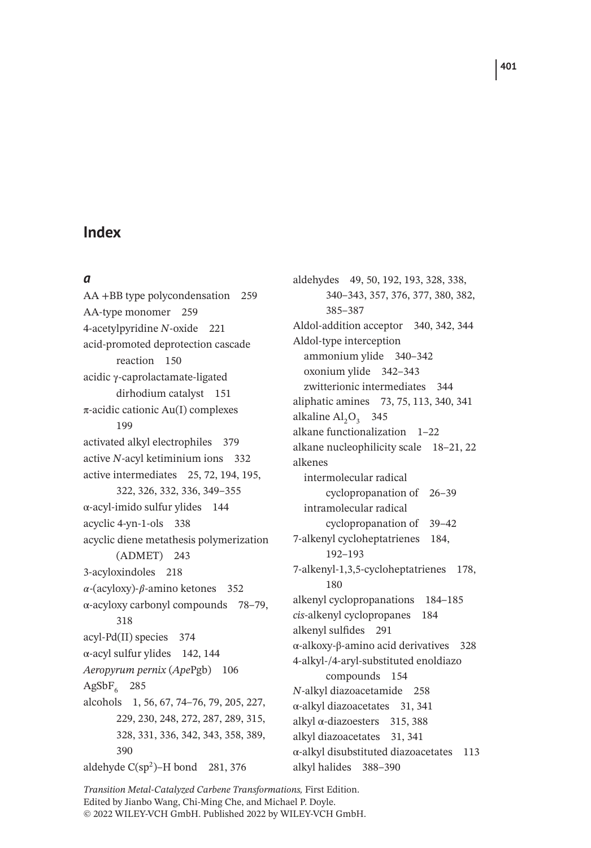#### *a*

AA +BB type polycondensation 259 AA-type monomer 259 4-acetylpyridine *N*-oxide 221 acid-promoted deprotection cascade reaction 150 acidic γ-caprolactamate-ligated dirhodium catalyst 151 π-acidic cationic Au(I) complexes 199 activated alkyl electrophiles 379 active *N*-acyl ketiminium ions 332 active intermediates 25, 72, 194, 195, 322, 326, 332, 336, 349–355 α-acyl-imido sulfur ylides 144 acyclic 4-yn-1-ols 338 acyclic diene metathesis polymerization (ADMET) 243 3-acyloxindoles 218  $\alpha$ -(acyloxy)- $\beta$ -amino ketones 352 α-acyloxy carbonyl compounds 78–79, 318 acyl-Pd(II) species 374  $\alpha$ -acyl sulfur ylides 142, 144 *Aeropyrum pernix* (*Ape*Pgb) 106  $AgSbF_6$  285 alcohols 1, 56, 67, 74–76, 79, 205, 227, 229, 230, 248, 272, 287, 289, 315, 328, 331, 336, 342, 343, 358, 389, 390 aldehyde  $C(sp^2)$ –H bond 281, 376

aldehydes 49, 50, 192, 193, 328, 338, 340–343, 357, 376, 377, 380, 382, 385–387 Aldol-addition acceptor 340, 342, 344 Aldol-type interception ammonium ylide 340–342 oxonium ylide 342–343 zwitterionic intermediates 344 aliphatic amines 73, 75, 113, 340, 341 alkaline  $AI<sub>2</sub>O<sub>3</sub>$  345 alkane functionalization 1–22 alkane nucleophilicity scale 18–21, 22 alkenes intermolecular radical cyclopropanation of 26–39 intramolecular radical cyclopropanation of 39–42 7-alkenyl cycloheptatrienes 184, 192–193 7-alkenyl-1,3,5-cycloheptatrienes 178, 180 alkenyl cyclopropanations 184–185 *cis*-alkenyl cyclopropanes 184 alkenyl sulfides 291 α-alkoxy-β-amino acid derivatives 328 4-alkyl-/4-aryl-substituted enoldiazo compounds 154 *N*-alkyl diazoacetamide 258 α-alkyl diazoacetates 31, 341 alkyl  $\alpha$ -diazoesters 315, 388 alkyl diazoacetates 31, 341 α-alkyl disubstituted diazoacetates 113 alkyl halides 388–390

*Transition Metal-Catalyzed Carbene Transformations,* First Edition. Edited by Jianbo Wang, Chi-Ming Che, and Michael P. Doyle. © 2022 WILEY-VCH GmbH. Published 2022 by WILEY-VCH GmbH.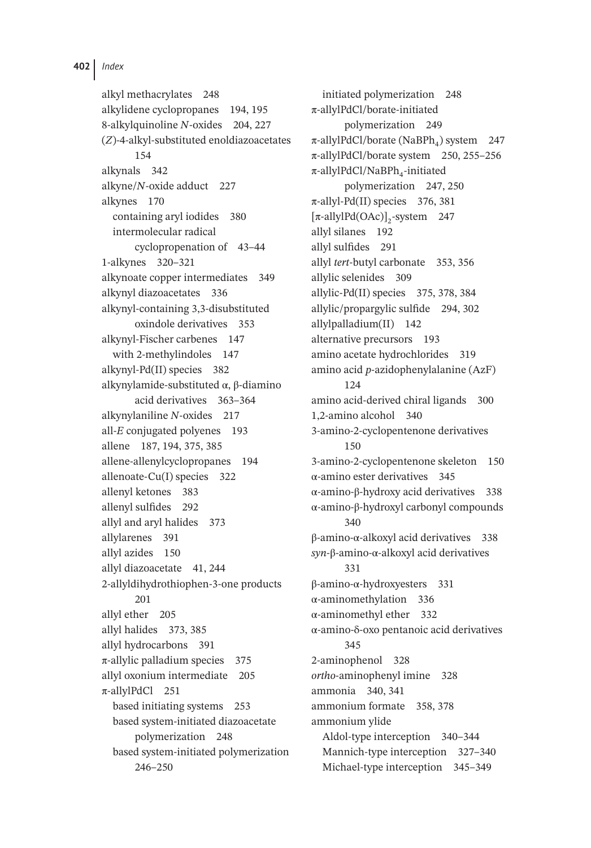alkyl methacrylates 248 alkylidene cyclopropanes 194, 195 8-alkylquinoline *N*-oxides 204, 227 (*Z*)-4-alkyl-substituted enoldiazoacetates 154 alkynals 342 alkyne/*N*-oxide adduct 227 alkynes 170 containing aryl iodides 380 intermolecular radical cyclopropenation of 43–44 1-alkynes 320–321 alkynoate copper intermediates 349 alkynyl diazoacetates 336 alkynyl-containing 3,3-disubstituted oxindole derivatives 353 alkynyl-Fischer carbenes 147 with 2-methylindoles 147 alkynyl-Pd(II) species 382 alkynylamide-substituted α, β-diamino acid derivatives 363–364 alkynylaniline *N*-oxides 217 all-*E* conjugated polyenes 193 allene 187, 194, 375, 385 allene-allenylcyclopropanes 194 allenoate-Cu(I) species 322 allenyl ketones 383 allenyl sulfides 292 allyl and aryl halides 373 allylarenes 391 allyl azides 150 allyl diazoacetate 41, 244 2-allyldihydrothiophen-3-one products 201 allyl ether 205 allyl halides 373, 385 allyl hydrocarbons 391  $\pi$ -allylic palladium species 375 allyl oxonium intermediate 205 π-allylPdCl 251 based initiating systems 253 based system-initiated diazoacetate polymerization 248 based system-initiated polymerization 246–250

initiated polymerization 248 π-allylPdCl/borate-initiated polymerization 249  $\pi$ -allylPdCl/borate (NaBPh<sub>4</sub>) system 247 π-allylPdCl/borate system 250, 255–256  $\pi$ -allylPdCl/NaBPh<sub>4</sub>-initiated polymerization 247, 250  $\pi$ -allyl-Pd(II) species 376, 381  $[\pi$ -allylPd(OAc)]<sub>2</sub>-system 247 allyl silanes 192 allyl sulfides 291 allyl *tert*-butyl carbonate 353, 356 allylic selenides 309 allylic-Pd(II) species 375, 378, 384 allylic/propargylic sulfide 294, 302 allylpalladium(II) 142 alternative precursors 193 amino acetate hydrochlorides 319 amino acid *p*-azidophenylalanine (AzF) 124 amino acid-derived chiral ligands 300 1,2-amino alcohol 340 3-amino-2-cyclopentenone derivatives 150 3-amino-2-cyclopentenone skeleton 150 α-amino ester derivatives 345 α-amino-β-hydroxy acid derivatives 338 α-amino-β-hydroxyl carbonyl compounds 340 β-amino-α-alkoxyl acid derivatives 338 *syn*-β-amino-α-alkoxyl acid derivatives 331 β-amino-α-hydroxyesters 331 α-aminomethylation 336 α-aminomethyl ether 332 α-amino-δ-oxo pentanoic acid derivatives 345 2-aminophenol 328 *ortho*-aminophenyl imine 328 ammonia 340, 341 ammonium formate 358, 378 ammonium ylide Aldol-type interception 340–344 Mannich-type interception 327–340 Michael-type interception 345–349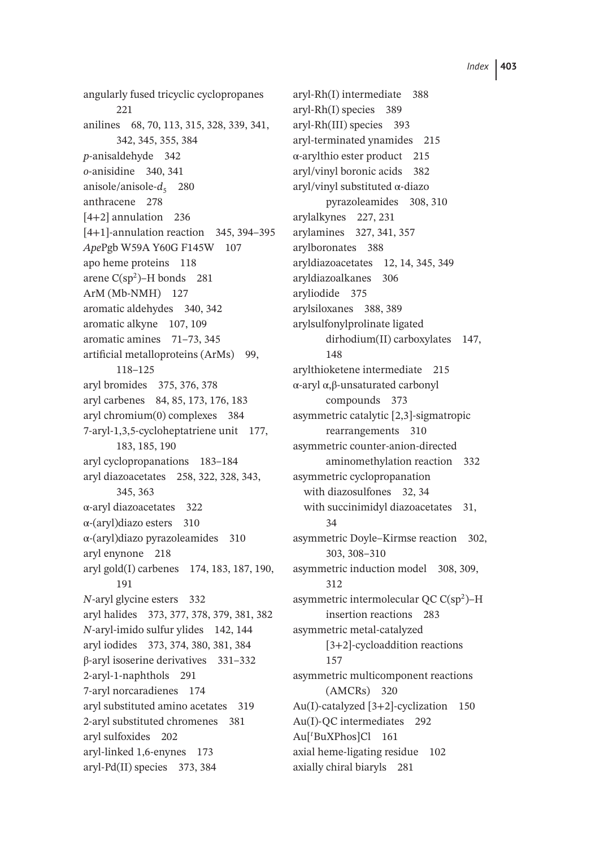angularly fused tricyclic cyclopropanes 221 anilines 68, 70, 113, 315, 328, 339, 341, 342, 345, 355, 384 *p*-anisaldehyde 342 *o*-anisidine 340, 341 anisole/anisole- $d<sub>5</sub>$  280 anthracene 278 [4+2] annulation 236 [4+1]-annulation reaction 345, 394–395 *Ape*Pgb W59A Y60G F145W 107 apo heme proteins 118 arene  $C(sp^2)$ –H bonds 281 ArM (Mb-NMH) 127 aromatic aldehydes 340, 342 aromatic alkyne 107, 109 aromatic amines 71–73, 345 artificial metalloproteins (ArMs) 99, 118–125 aryl bromides 375, 376, 378 aryl carbenes 84, 85, 173, 176, 183 aryl chromium(0) complexes 384 7-aryl-1,3,5-cycloheptatriene unit 177, 183, 185, 190 aryl cyclopropanations 183–184 aryl diazoacetates 258, 322, 328, 343, 345, 363 α-aryl diazoacetates 322 α-(aryl)diazo esters 310 α-(aryl)diazo pyrazoleamides 310 aryl enynone 218 aryl gold(I) carbenes 174, 183, 187, 190, 191 *N*-aryl glycine esters 332 aryl halides 373, 377, 378, 379, 381, 382 *N*-aryl-imido sulfur ylides 142, 144 aryl iodides 373, 374, 380, 381, 384 β-aryl isoserine derivatives 331–332 2-aryl-1-naphthols 291 7-aryl norcaradienes 174 aryl substituted amino acetates 319 2-aryl substituted chromenes 381 aryl sulfoxides 202 aryl-linked 1,6-enynes 173 aryl-Pd(II) species 373, 384

aryl-Rh(I) intermediate 388 aryl-Rh(I) species 389 aryl-Rh(III) species 393 aryl-terminated ynamides 215  $\alpha$ -arylthio ester product 215 aryl/vinyl boronic acids 382 aryl/vinyl substituted α-diazo pyrazoleamides 308, 310 arylalkynes 227, 231 arylamines 327, 341, 357 arylboronates 388 aryldiazoacetates 12, 14, 345, 349 aryldiazoalkanes 306 aryliodide 375 arylsiloxanes 388, 389 arylsulfonylprolinate ligated dirhodium(II) carboxylates 147, 148 arylthioketene intermediate 215 α-aryl α,β-unsaturated carbonyl compounds 373 asymmetric catalytic [2,3]-sigmatropic rearrangements 310 asymmetric counter-anion-directed aminomethylation reaction 332 asymmetric cyclopropanation with diazosulfones 32, 34 with succinimidyl diazoacetates 31, 34 asymmetric Doyle–Kirmse reaction 302, 303, 308–310 asymmetric induction model 308, 309, 312 asymmetric intermolecular QC C(sp2)–H insertion reactions 283 asymmetric metal-catalyzed [3+2]-cycloaddition reactions 157 asymmetric multicomponent reactions (AMCRs) 320 Au(I)-catalyzed [3+2]-cyclization 150 Au(I)-QC intermediates 292 Au[*<sup>t</sup>* BuXPhos]Cl 161 axial heme-ligating residue 102 axially chiral biaryls 281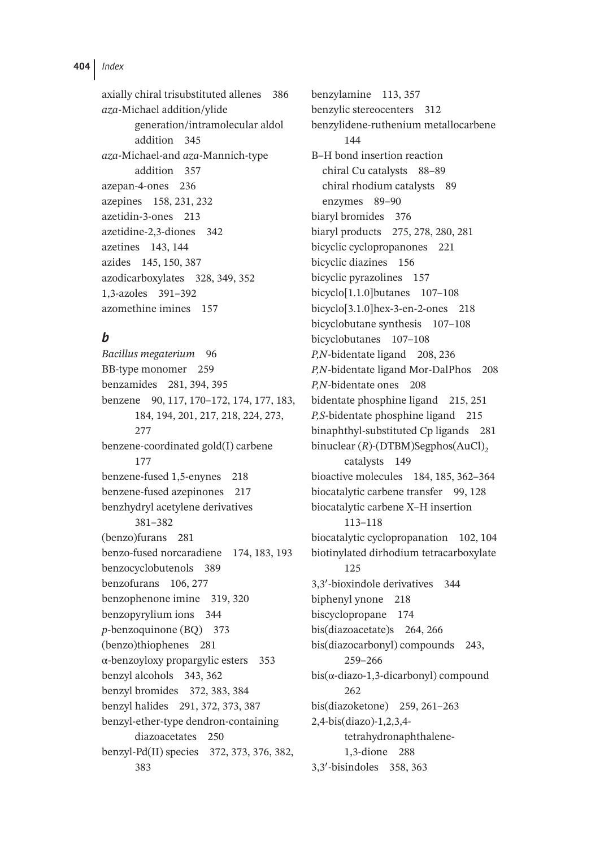axially chiral trisubstituted allenes 386 *aza*-Michael addition/ylide generation/intramolecular aldol addition 345 *aza*-Michael-and *aza*-Mannich-type addition 357 azepan-4-ones 236 azepines 158, 231, 232 azetidin-3-ones 213 azetidine-2,3-diones 342 azetines 143, 144 azides 145, 150, 387 azodicarboxylates 328, 349, 352 1,3-azoles 391–392 azomethine imines 157

## *b*

*Bacillus megaterium* 96 BB-type monomer 259 benzamides 281, 394, 395 benzene 90, 117, 170–172, 174, 177, 183, 184, 194, 201, 217, 218, 224, 273, 277 benzene-coordinated gold(I) carbene 177 benzene-fused 1,5-enynes 218 benzene-fused azepinones 217 benzhydryl acetylene derivatives 381–382 (benzo)furans 281 benzo-fused norcaradiene 174, 183, 193 benzocyclobutenols 389 benzofurans 106, 277 benzophenone imine 319, 320 benzopyrylium ions 344 *p*-benzoquinone (BQ) 373 (benzo)thiophenes 281 α-benzoyloxy propargylic esters 353 benzyl alcohols 343, 362 benzyl bromides 372, 383, 384 benzyl halides 291, 372, 373, 387 benzyl-ether-type dendron-containing diazoacetates 250 benzyl-Pd(II) species 372, 373, 376, 382, 383

benzylamine 113, 357 benzylic stereocenters 312 benzylidene-ruthenium metallocarbene 144 B–H bond insertion reaction chiral Cu catalysts 88–89 chiral rhodium catalysts 89 enzymes 89–90 biaryl bromides 376 biaryl products 275, 278, 280, 281 bicyclic cyclopropanones 221 bicyclic diazines 156 bicyclic pyrazolines 157 bicyclo[1.1.0]butanes 107–108 bicyclo[3.1.0]hex-3-en-2-ones 218 bicyclobutane synthesis 107–108 bicyclobutanes 107–108 *P,N*-bidentate ligand 208, 236 *P,N*-bidentate ligand Mor-DalPhos 208 *P,N*-bidentate ones 208 bidentate phosphine ligand 215, 251 *P,S*-bidentate phosphine ligand 215 binaphthyl-substituted Cp ligands 281 binuclear (*R*)-(DTBM)Segphos(AuCl)<sub>2</sub> catalysts 149 bioactive molecules 184, 185, 362–364 biocatalytic carbene transfer 99, 128 biocatalytic carbene X–H insertion 113–118 biocatalytic cyclopropanation 102, 104 biotinylated dirhodium tetracarboxylate 125 3,3′ -bioxindole derivatives 344 biphenyl ynone 218 biscyclopropane 174 bis(diazoacetate)s 264, 266 bis(diazocarbonyl) compounds 243, 259–266  $bis(α-diazo-1,3-dicarbonyl)$  compound 262 bis(diazoketone) 259, 261–263 2,4-bis(diazo)-1,2,3,4 tetrahydronaphthalene-1,3-dione 288 3,3′ -bisindoles 358, 363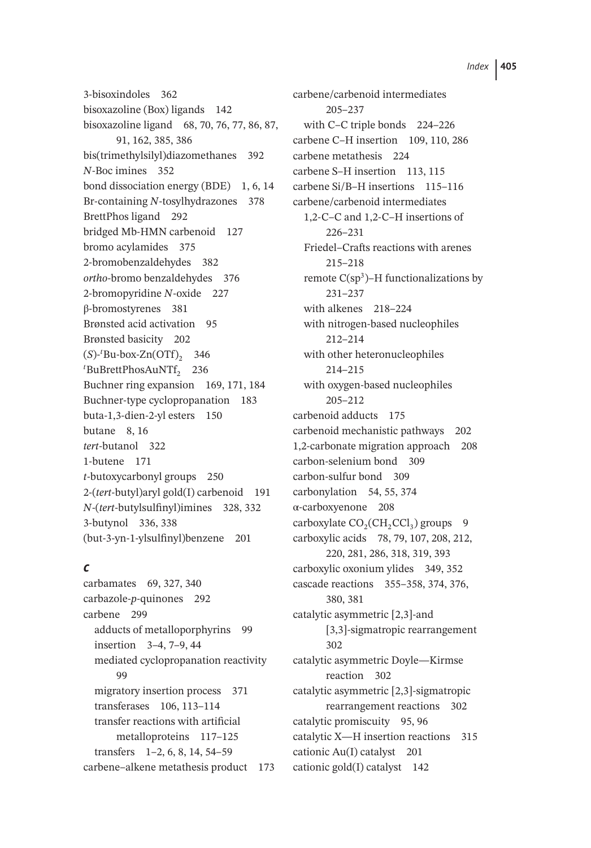3-bisoxindoles 362 bisoxazoline (Box) ligands 142 bisoxazoline ligand 68, 70, 76, 77, 86, 87, 91, 162, 385, 386 bis(trimethylsilyl)diazomethanes 392 *N*-Boc imines 352 bond dissociation energy (BDE) 1, 6, 14 Br-containing *N*-tosylhydrazones 378 BrettPhos ligand 292 bridged Mb-HMN carbenoid 127 bromo acylamides 375 2-bromobenzaldehydes 382 *ortho*-bromo benzaldehydes 376 2-bromopyridine *N*-oxide 227 β-bromostyrenes 381 Brønsted acid activation 95 Brønsted basicity 202  $(S)$ -<sup>t</sup>Bu-box-Zn(OTf)<sub>2</sub> 346 <sup>t</sup>BuBrettPhosAuNTf<sub>2</sub> 236 Buchner ring expansion 169, 171, 184 Buchner-type cyclopropanation 183 buta-1,3-dien-2-yl esters 150 butane 8, 16 *tert*-butanol 322 1-butene 171 *t*-butoxycarbonyl groups 250 2-(*tert*-butyl)aryl gold(I) carbenoid 191 *N*-(*tert*-butylsulfinyl)imines 328, 332 3-butynol 336, 338 (but-3-yn-1-ylsulfinyl)benzene 201

## *c*

carbamates 69, 327, 340 carbazole-*p*-quinones 292 carbene 299 adducts of metalloporphyrins 99 insertion 3–4, 7–9, 44 mediated cyclopropanation reactivity **99** migratory insertion process 371 transferases 106, 113–114 transfer reactions with artificial metalloproteins 117–125 transfers 1–2, 6, 8, 14, 54–59 carbene–alkene metathesis product 173 carbene/carbenoid intermediates 205–237 with C–C triple bonds 224–226 carbene C–H insertion 109, 110, 286 carbene metathesis 224 carbene S–H insertion 113, 115 carbene Si/B–H insertions 115–116 carbene/carbenoid intermediates 1,2-C–C and 1,2-C–H insertions of 226–231 Friedel–Crafts reactions with arenes 215–218 remote  $C(sp^3)$ –H functionalizations by 231–237 with alkenes 218–224 with nitrogen-based nucleophiles 212–214 with other heteronucleophiles 214–215 with oxygen-based nucleophiles 205–212 carbenoid adducts 175 carbenoid mechanistic pathways 202 1,2-carbonate migration approach 208 carbon-selenium bond 309 carbon-sulfur bond 309 carbonylation 54, 55, 374 α-carboxyenone 208 carboxylate  $CO<sub>2</sub>(CH<sub>2</sub>Cl<sub>3</sub>)$  groups 9 carboxylic acids 78, 79, 107, 208, 212, 220, 281, 286, 318, 319, 393 carboxylic oxonium ylides 349, 352 cascade reactions 355–358, 374, 376, 380, 381 catalytic asymmetric [2,3]-and [3,3]-sigmatropic rearrangement 302 catalytic asymmetric Doyle—Kirmse reaction 302 catalytic asymmetric [2,3]-sigmatropic rearrangement reactions 302 catalytic promiscuity 95, 96 catalytic X—H insertion reactions 315 cationic Au(I) catalyst 201 cationic gold(I) catalyst 142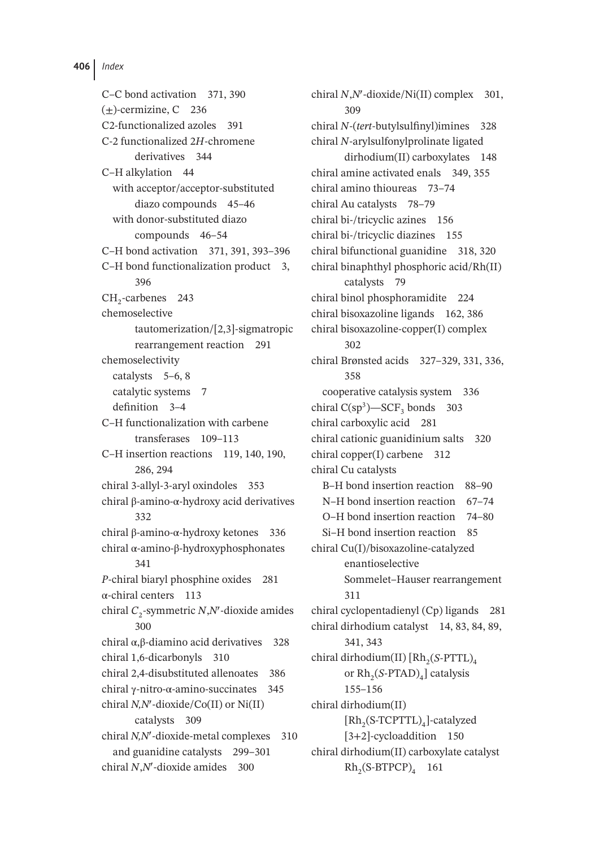C–C bond activation 371, 390  $(+)$ -cermizine, C 236 C2-functionalized azoles 391 C-2 functionalized 2*H*-chromene derivatives 344 C–H alkylation 44 with acceptor/acceptor-substituted diazo compounds 45–46 with donor-substituted diazo compounds 46–54 C–H bond activation 371, 391, 393–396 C–H bond functionalization product 3, 396 CH<sub>2</sub>-carbenes 243 chemoselective tautomerization/[2,3]-sigmatropic rearrangement reaction 291 chemoselectivity catalysts 5–6, 8 catalytic systems 7 definition 3–4 C–H functionalization with carbene transferases 109–113 C–H insertion reactions 119, 140, 190, 286, 294 chiral 3-allyl-3-aryl oxindoles 353 chiral β-amino-α-hydroxy acid derivatives 332 chiral β-amino-α-hydroxy ketones 336 chiral α-amino-β-hydroxyphosphonates 341 *P*-chiral biaryl phosphine oxides 281 α-chiral centers 113 chiral *C*2-symmetric *N*,*N*′ -dioxide amides 300 chiral α,β-diamino acid derivatives 328 chiral 1,6-dicarbonyls 310 chiral 2,4-disubstituted allenoates 386 chiral γ-nitro-α-amino-succinates 345 chiral *N,N*′ -dioxide/Co(II) or Ni(II) catalysts 309 chiral *N,N*′ -dioxide-metal complexes 310 and guanidine catalysts 299–301 chiral *N*,*N*′ -dioxide amides 300

chiral *N*,*N*′ -dioxide/Ni(II) complex 301, 309 chiral *N*-(*tert*-butylsulfinyl)imines 328 chiral *N*-arylsulfonylprolinate ligated dirhodium(II) carboxylates 148 chiral amine activated enals 349, 355 chiral amino thioureas 73–74 chiral Au catalysts 78–79 chiral bi-/tricyclic azines 156 chiral bi-/tricyclic diazines 155 chiral bifunctional guanidine 318, 320 chiral binaphthyl phosphoric acid/Rh(II) catalysts 79 chiral binol phosphoramidite 224 chiral bisoxazoline ligands 162, 386 chiral bisoxazoline-copper(I) complex 302 chiral Brønsted acids 327–329, 331, 336, 358 cooperative catalysis system 336 chiral  $C(sp^3)$ —SCF<sub>3</sub> bonds 303 chiral carboxylic acid 281 chiral cationic guanidinium salts 320 chiral copper(I) carbene 312 chiral Cu catalysts B–H bond insertion reaction 88–90 N–H bond insertion reaction 67–74 O–H bond insertion reaction 74–80 Si–H bond insertion reaction 85 chiral Cu(I)/bisoxazoline-catalyzed enantioselective Sommelet–Hauser rearrangement 311 chiral cyclopentadienyl (Cp) ligands 281 chiral dirhodium catalyst 14, 83, 84, 89, 341, 343 chiral dirhodium(II) [Rh<sub>2</sub>(*S*-PTTL)<sub>4</sub> or  $Rh_2(S\text{-PTAD})_4$ ] catalysis 155–156 chiral dirhodium(II)  $[Rh,(S-TCPTTL)]$ -catalyzed [3+2]-cycloaddition 150 chiral dirhodium(II) carboxylate catalyst  $Rh<sub>2</sub>(S-BTPCP)<sub>4</sub>$  161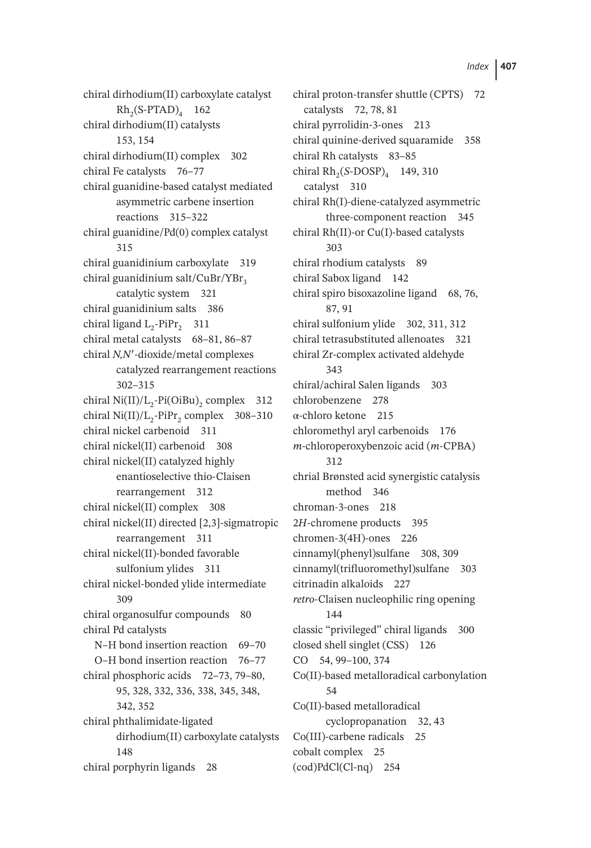chiral dirhodium(II) carboxylate catalyst  $Rh_2(S-PTAD)_4$  162 chiral dirhodium(II) catalysts 153, 154 chiral dirhodium(II) complex 302 chiral Fe catalysts 76-77 chiral guanidine-based catalyst mediated asymmetric carbene insertion reactions 315–322 chiral guanidine/Pd(0) complex catalyst 315 chiral guanidinium carboxylate 319 chiral guanidinium salt/CuBr/YBr<sub>2</sub> catalytic system 321 chiral guanidinium salts 386 chiral ligand  $L_2$ -PiPr<sub>2</sub> 311 chiral metal catalysts 68–81, 86–87 chiral *N,N*′ -dioxide/metal complexes catalyzed rearrangement reactions 302–315 chiral Ni(II)/ $L_2$ -Pi(OiBu)<sub>2</sub> complex 312 chiral Ni $(II)/L$ <sub>2</sub>-PiPr<sub>2</sub> complex 308–310 chiral nickel carbenoid 311 chiral nickel(II) carbenoid 308 chiral nickel(II) catalyzed highly enantioselective thio-Claisen rearrangement 312 chiral nickel(II) complex 308 chiral nickel(II) directed [2,3]-sigmatropic rearrangement 311 chiral nickel(II)-bonded favorable sulfonium ylides 311 chiral nickel-bonded ylide intermediate 309 chiral organosulfur compounds 80 chiral Pd catalysts N–H bond insertion reaction 69–70 O–H bond insertion reaction 76–77 chiral phosphoric acids 72–73, 79–80, 95, 328, 332, 336, 338, 345, 348, 342, 352 chiral phthalimidate-ligated dirhodium(II) carboxylate catalysts 148 chiral porphyrin ligands 28

chiral proton-transfer shuttle (CPTS) 72 catalysts 72, 78, 81 chiral pyrrolidin-3-ones 213 chiral quinine-derived squaramide 358 chiral Rh catalysts 83–85 chiral Rh<sub>2</sub>(*S*-DOSP)<sub>4</sub> 149, 310 catalyst 310 chiral Rh(I)-diene-catalyzed asymmetric three-component reaction 345 chiral Rh(II)-or Cu(I)-based catalysts 303 chiral rhodium catalysts 89 chiral Sabox ligand 142 chiral spiro bisoxazoline ligand 68, 76, 87, 91 chiral sulfonium ylide 302, 311, 312 chiral tetrasubstituted allenoates 321 chiral Zr-complex activated aldehyde 343 chiral/achiral Salen ligands 303 chlorobenzene 278 α-chloro ketone 215 chloromethyl aryl carbenoids 176 *m*-chloroperoxybenzoic acid (*m*-CPBA) 312 chrial Brønsted acid synergistic catalysis method 346 chroman-3-ones 218 2*H*-chromene products 395 chromen-3(4H)-ones 226 cinnamyl(phenyl)sulfane 308, 309 cinnamyl(trifluoromethyl)sulfane 303 citrinadin alkaloids 227 *retro*-Claisen nucleophilic ring opening 144 classic "privileged" chiral ligands 300 closed shell singlet (CSS) 126 CO 54, 99–100, 374 Co(II)-based metalloradical carbonylation 54 Co(II)-based metalloradical cyclopropanation 32, 43 Co(III)-carbene radicals 25 cobalt complex 25 (cod)PdCl(Cl-nq) 254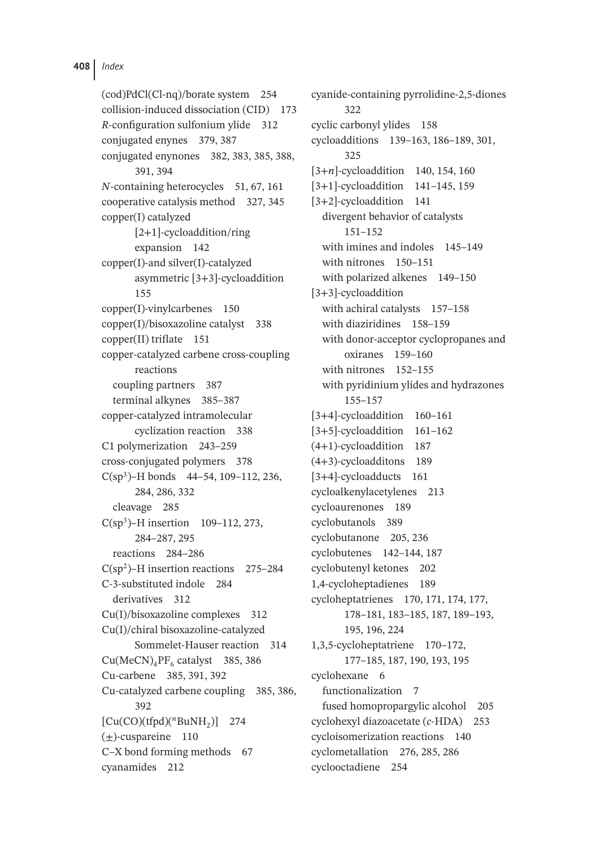(cod)PdCl(Cl-nq)/borate system 254 collision-induced dissociation (CID) 173 *R*-configuration sulfonium ylide 312 conjugated enynes 379, 387 conjugated enynones 382, 383, 385, 388, 391, 394 *N*-containing heterocycles 51, 67, 161 cooperative catalysis method 327, 345 copper(I) catalyzed [2+1]-cycloaddition/ring expansion 142 copper(I)-and silver(I)-catalyzed asymmetric [3+3]-cycloaddition 155 copper(I)-vinylcarbenes 150 copper(I)/bisoxazoline catalyst 338 copper(II) triflate 151 copper-catalyzed carbene cross-coupling reactions coupling partners 387 terminal alkynes 385–387 copper-catalyzed intramolecular cyclization reaction 338 C1 polymerization 243–259 cross-conjugated polymers 378  $C(sp^3)$ –H bonds 44–54, 109–112, 236, 284, 286, 332 cleavage 285  $C(sp^3)$ –H insertion 109–112, 273, 284–287, 295 reactions 284–286  $C(sp^2)$ –H insertion reactions 275–284 C-3-substituted indole 284 derivatives 312 Cu(I)/bisoxazoline complexes 312 Cu(I)/chiral bisoxazoline-catalyzed Sommelet-Hauser reaction 314  $Cu(MeCN)<sub>4</sub>PF<sub>6</sub>$  catalyst 385, 386 Cu-carbene 385, 391, 392 Cu-catalyzed carbene coupling 385, 386, 392  $[Cu(CO)(tfpd)(<sup>n</sup>BuNH<sub>2</sub>)]$  274  $(\pm)$ -cuspareine 110 C–X bond forming methods 67 cyanamides 212

cyanide-containing pyrrolidine-2,5-diones 322 cyclic carbonyl ylides 158 cycloadditions 139–163, 186–189, 301, 325 [3+*n*]-cycloaddition 140, 154, 160 [3+1]-cycloaddition 141–145, 159 [3+2]-cycloaddition 141 divergent behavior of catalysts 151–152 with imines and indoles 145–149 with nitrones 150–151 with polarized alkenes 149–150 [3+3]-cycloaddition with achiral catalysts 157-158 with diaziridines 158–159 with donor-acceptor cyclopropanes and oxiranes 159–160 with nitrones 152-155 with pyridinium ylides and hydrazones 155–157 [3+4]-cycloaddition 160–161 [3+5]-cycloaddition 161–162 (4+1)-cycloaddition 187 (4+3)-cycloadditons 189 [3+4]-cycloadducts 161 cycloalkenylacetylenes 213 cycloaurenones 189 cyclobutanols 389 cyclobutanone 205, 236 cyclobutenes 142–144, 187 cyclobutenyl ketones 202 1,4-cycloheptadienes 189 cycloheptatrienes 170, 171, 174, 177, 178–181, 183–185, 187, 189–193, 195, 196, 224 1,3,5-cycloheptatriene 170–172, 177–185, 187, 190, 193, 195 cyclohexane 6 functionalization 7 fused homopropargylic alcohol 205 cyclohexyl diazoacetate (*c*-HDA) 253 cycloisomerization reactions 140 cyclometallation 276, 285, 286 cyclooctadiene 254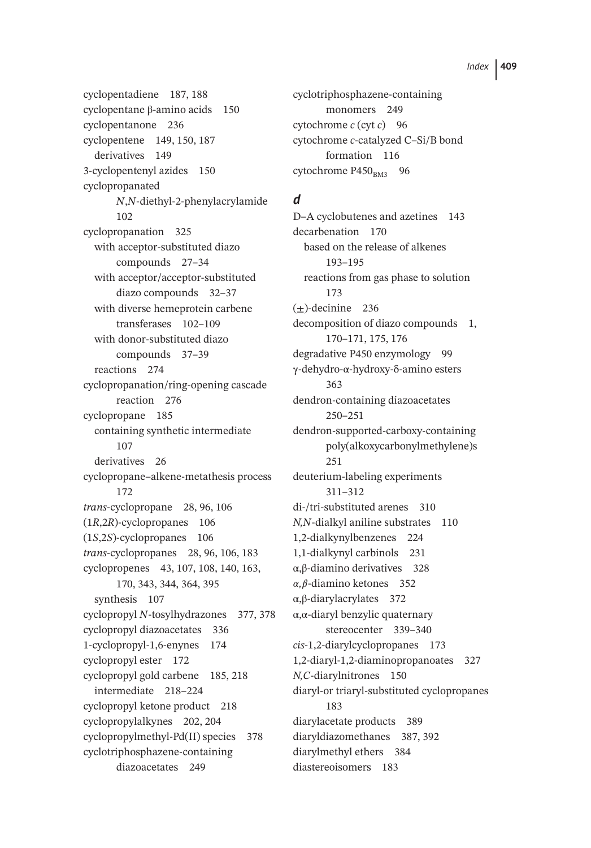cyclopentadiene 187, 188 cyclopentane β-amino acids 150 cyclopentanone 236 cyclopentene 149, 150, 187 derivatives 149 3-cyclopentenyl azides 150 cyclopropanated *N*,*N*-diethyl-2-phenylacrylamide 102 cyclopropanation 325 with acceptor-substituted diazo compounds 27–34 with acceptor/acceptor-substituted diazo compounds 32–37 with diverse hemeprotein carbene transferases 102–109 with donor-substituted diazo compounds 37–39 reactions 274 cyclopropanation/ring-opening cascade reaction 276 cyclopropane 185 containing synthetic intermediate 107 derivatives 26 cyclopropane–alkene-metathesis process 172 *trans*-cyclopropane 28, 96, 106 (1*R*,2*R*)-cyclopropanes 106 (1*S*,2*S*)-cyclopropanes 106 *trans*-cyclopropanes 28, 96, 106, 183 cyclopropenes 43, 107, 108, 140, 163, 170, 343, 344, 364, 395 synthesis 107 cyclopropyl *N*-tosylhydrazones 377, 378 cyclopropyl diazoacetates 336 1-cyclopropyl-1,6-enynes 174 cyclopropyl ester 172 cyclopropyl gold carbene 185, 218 intermediate 218–224 cyclopropyl ketone product 218 cyclopropylalkynes 202, 204 cyclopropylmethyl-Pd(II) species 378 cyclotriphosphazene-containing diazoacetates 249

cyclotriphosphazene-containing monomers 249 cytochrome *c* (cyt *c*) 96 cytochrome *c*-catalyzed C–Si/B bond formation 116 cytochrome  $P450_{BM3}$  96

## *d*

D–A cyclobutenes and azetines 143 decarbenation 170 based on the release of alkenes 193–195 reactions from gas phase to solution 173  $(+)$ -decinine 236 decomposition of diazo compounds 1, 170–171, 175, 176 degradative P450 enzymology 99 γ-dehydro-α-hydroxy-δ-amino esters 363 dendron-containing diazoacetates 250–251 dendron-supported-carboxy-containing poly(alkoxycarbonylmethylene)s 251 deuterium-labeling experiments 311–312 di-/tri-substituted arenes 310 *N,N*-dialkyl aniline substrates 110 1,2-dialkynylbenzenes 224 1,1-dialkynyl carbinols 231 α,β-diamino derivatives 328  $\alpha$ ,  $\beta$ -diamino ketones 352 α,β-diarylacrylates 372 α,α-diaryl benzylic quaternary stereocenter 339–340 *cis*-1,2-diarylcyclopropanes 173 1,2-diaryl-1,2-diaminopropanoates 327 *N,C*-diarylnitrones 150 diaryl-or triaryl-substituted cyclopropanes 183 diarylacetate products 389 diaryldiazomethanes 387, 392 diarylmethyl ethers 384 diastereoisomers 183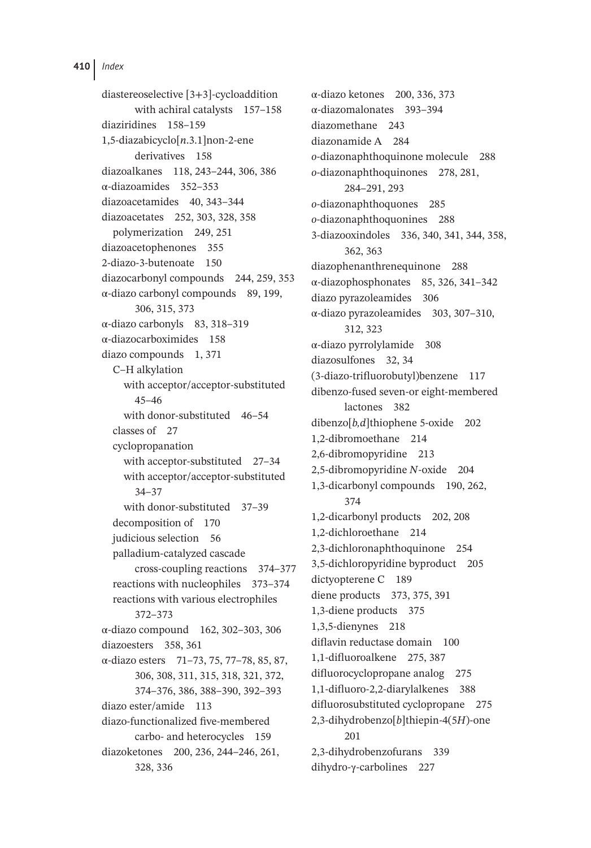diastereoselective [3+3]-cycloaddition with achiral catalysts 157–158 diaziridines 158–159 1,5-diazabicyclo[*n*.3.1]non-2-ene derivatives 158 diazoalkanes 118, 243–244, 306, 386 α-diazoamides 352–353 diazoacetamides 40, 343–344 diazoacetates 252, 303, 328, 358 polymerization 249, 251 diazoacetophenones 355 2-diazo-3-butenoate 150 diazocarbonyl compounds 244, 259, 353 α-diazo carbonyl compounds 89, 199, 306, 315, 373 α-diazo carbonyls 83, 318–319 α-diazocarboximides 158 diazo compounds 1, 371 C–H alkylation with acceptor/acceptor-substituted 45–46 with donor-substituted 46–54 classes of 27 cyclopropanation with acceptor-substituted 27–34 with acceptor/acceptor-substituted 34–37 with donor-substituted 37–39 decomposition of 170 judicious selection 56 palladium-catalyzed cascade cross-coupling reactions 374–377 reactions with nucleophiles 373–374 reactions with various electrophiles 372–373 α-diazo compound 162, 302–303, 306 diazoesters 358, 361 α-diazo esters 71–73, 75, 77–78, 85, 87, 306, 308, 311, 315, 318, 321, 372, 374–376, 386, 388–390, 392–393 diazo ester/amide 113 diazo-functionalized five-membered carbo- and heterocycles 159 diazoketones 200, 236, 244–246, 261, 328, 336

α-diazo ketones 200, 336, 373 α-diazomalonates 393–394 diazomethane 243 diazonamide A 284 *o*-diazonaphthoquinone molecule 288 *o*-diazonaphthoquinones 278, 281, 284–291, 293 *o*-diazonaphthoquones 285 *o*-diazonaphthoquonines 288 3-diazooxindoles 336, 340, 341, 344, 358, 362, 363 diazophenanthrenequinone 288 α-diazophosphonates 85, 326, 341–342 diazo pyrazoleamides 306 α-diazo pyrazoleamides 303, 307–310, 312, 323 α-diazo pyrrolylamide 308 diazosulfones 32, 34 (3-diazo-trifluorobutyl)benzene 117 dibenzo-fused seven-or eight-membered lactones 382 dibenzo[*b,d*]thiophene 5-oxide 202 1,2-dibromoethane 214 2,6-dibromopyridine 213 2,5-dibromopyridine *N*-oxide 204 1,3-dicarbonyl compounds 190, 262, 374 1,2-dicarbonyl products 202, 208 1,2-dichloroethane 214 2,3-dichloronaphthoquinone 254 3,5-dichloropyridine byproduct 205 dictyopterene C 189 diene products 373, 375, 391 1,3-diene products 375 1,3,5-dienynes 218 diflavin reductase domain 100 1,1-difluoroalkene 275, 387 difluorocyclopropane analog 275 1,1-difluoro-2,2-diarylalkenes 388 difluorosubstituted cyclopropane 275 2,3-dihydrobenzo[*b*]thiepin-4(5*H*)-one 201 2,3-dihydrobenzofurans 339 dihydro-γ-carbolines 227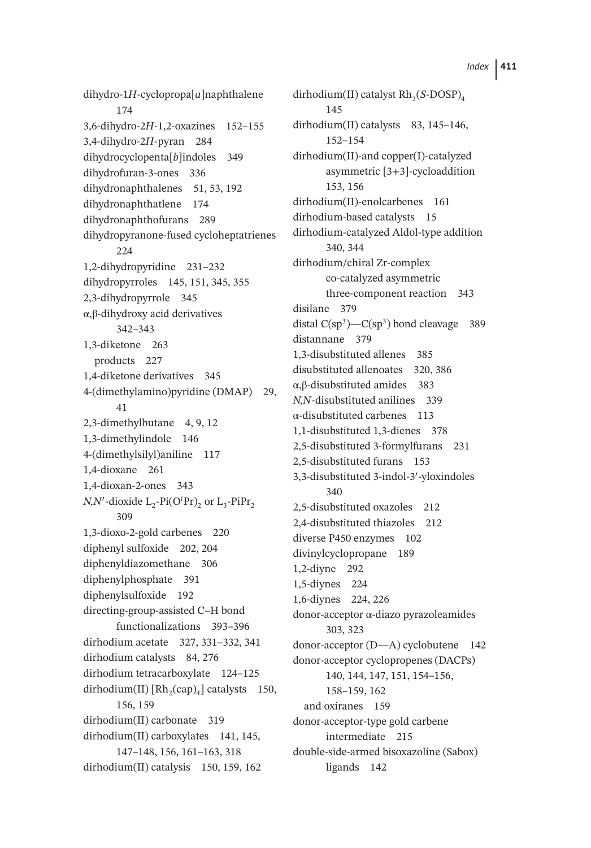dihydro-1*H*-cyclopropa[*a*]naphthalene 174 3,6-dihydro-2*H*-1,2-oxazines 152–155 3,4-dihydro-2*H*-pyran 284 dihydrocyclopenta[*b*]indoles 349 dihydrofuran-3-ones 336 dihydronaphthalenes 51, 53, 192 dihydronaphthatlene 174 dihydronaphthofurans 289 dihydropyranone-fused cycloheptatrienes 224 1,2-dihydropyridine 231–232 dihydropyrroles 145, 151, 345, 355 2,3-dihydropyrrole 345 α,β-dihydroxy acid derivatives 342–343 1,3-diketone 263 products 227 1,4-diketone derivatives 345 4-(dimethylamino)pyridine (DMAP) 29, 41 2,3-dimethylbutane 4, 9, 12 1,3-dimethylindole 146 4-(dimethylsilyl)aniline 117 1,4-dioxane 261 1,4-dioxan-2-ones 343 *N,N'*-dioxide L<sub>2</sub>-Pi(O<sup>*i*</sup>Pr)<sub>2</sub> or L<sub>3</sub>-PiPr<sub>2</sub> 309 1,3-dioxo-2-gold carbenes 220 diphenyl sulfoxide 202, 204 diphenyldiazomethane 306 diphenylphosphate 391 diphenylsulfoxide 192 directing-group-assisted C–H bond functionalizations 393–396 dirhodium acetate 327, 331–332, 341 dirhodium catalysts 84, 276 dirhodium tetracarboxylate 124–125 dirhodium(II)  $[Rh_2(cap)_4]$  catalysts 150, 156, 159 dirhodium(II) carbonate 319 dirhodium(II) carboxylates 141, 145, 147–148, 156, 161–163, 318 dirhodium(II) catalysis 150, 159, 162

dirhodium(II) catalyst Rh<sub>2</sub>(*S*-DOSP)<sub>4</sub> 145 dirhodium(II) catalysts 83, 145-146, 152–154 dirhodium(II)-and copper(I)-catalyzed asymmetric [3+3]-cycloaddition 153, 156 dirhodium(II)-enolcarbenes 161 dirhodium-based catalysts 15 dirhodium-catalyzed Aldol-type addition 340, 344 dirhodium/chiral Zr-complex co-catalyzed asymmetric three-component reaction 343 disilane 379 distal  $C(sp^3)$ — $C(sp^3)$  bond cleavage 389 distannane 379 1,3-disubstituted allenes 385 disubstituted allenoates 320, 386 α,β-disubstituted amides 383 *N,N*-disubstituted anilines 339 α-disubstituted carbenes 113 1,1-disubstituted 1,3-dienes 378 2,5-disubstituted 3-formylfurans 231 2,5-disubstituted furans 153 3,3-disubstituted 3-indol-3′ -yloxindoles 340 2,5-disubstituted oxazoles 212 2,4-disubstituted thiazoles 212 diverse P450 enzymes 102 divinylcyclopropane 189 1,2-diyne 292 1,5-diynes 224 1,6-diynes 224, 226 donor-acceptor α-diazo pyrazoleamides 303, 323 donor-acceptor (D—A) cyclobutene 142 donor-acceptor cyclopropenes (DACPs) 140, 144, 147, 151, 154–156, 158–159, 162 and oxiranes 159 donor-acceptor-type gold carbene intermediate 215 double-side-armed bisoxazoline (Sabox) ligands 142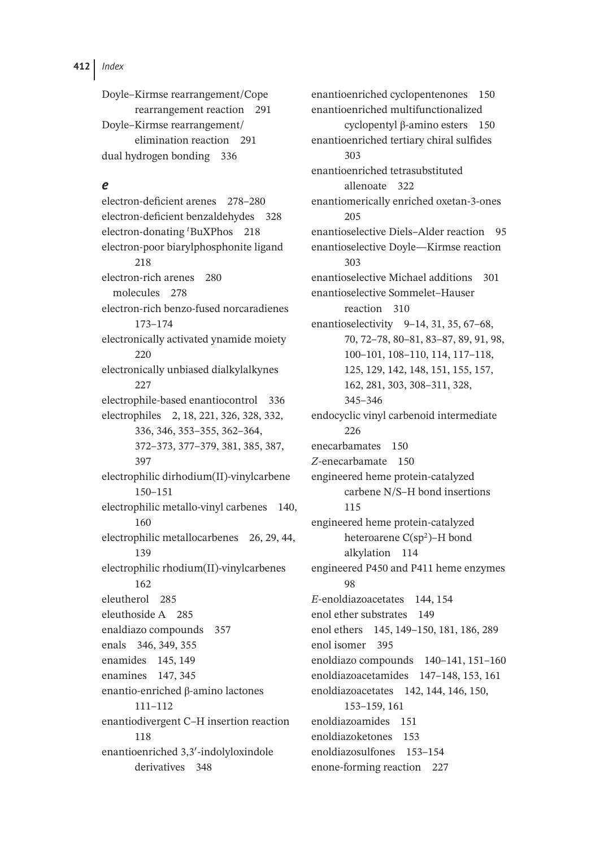Doyle–Kirmse rearrangement/Cope rearrangement reaction 291 Doyle–Kirmse rearrangement/ elimination reaction 291 dual hydrogen bonding 336

#### *e*

electron-deficient arenes 278–280 electron-deficient benzaldehydes 328 electron-donating *<sup>t</sup>* BuXPhos 218 electron-poor biarylphosphonite ligand 218 electron-rich arenes 280 molecules 278 electron-rich benzo-fused norcaradienes 173–174 electronically activated ynamide moiety 220 electronically unbiased dialkylalkynes  $227$ electrophile-based enantiocontrol 336 electrophiles 2, 18, 221, 326, 328, 332, 336, 346, 353–355, 362–364, 372–373, 377–379, 381, 385, 387, 397 electrophilic dirhodium(II)-vinylcarbene 150–151 electrophilic metallo-vinyl carbenes 140, 160 electrophilic metallocarbenes 26, 29, 44, 139 electrophilic rhodium(II)-vinylcarbenes 162 eleutherol 285 eleuthoside A 285 enaldiazo compounds 357 enals 346, 349, 355 enamides 145, 149 enamines 147, 345 enantio-enriched β-amino lactones 111–112 enantiodivergent C–H insertion reaction 118 enantioenriched 3,3′ -indolyloxindole derivatives 348

enantioenriched cyclopentenones 150 enantioenriched multifunctionalized cyclopentyl β-amino esters 150 enantioenriched tertiary chiral sulfides 303 enantioenriched tetrasubstituted allenoate 322 enantiomerically enriched oxetan-3-ones 205 enantioselective Diels–Alder reaction 95 enantioselective Doyle—Kirmse reaction 303 enantioselective Michael additions 301 enantioselective Sommelet–Hauser reaction 310 enantioselectivity 9–14, 31, 35, 67–68, 70, 72–78, 80–81, 83–87, 89, 91, 98, 100–101, 108–110, 114, 117–118, 125, 129, 142, 148, 151, 155, 157, 162, 281, 303, 308–311, 328, 345–346 endocyclic vinyl carbenoid intermediate 226 enecarbamates 150 *Z*-enecarbamate 150 engineered heme protein-catalyzed carbene N/S–H bond insertions 115 engineered heme protein-catalyzed heteroarene C(sp2)–H bond alkylation 114 engineered P450 and P411 heme enzymes 98 *E*-enoldiazoacetates 144, 154 enol ether substrates 149 enol ethers 145, 149–150, 181, 186, 289 enol isomer 395 enoldiazo compounds 140–141, 151–160 enoldiazoacetamides 147–148, 153, 161 enoldiazoacetates 142, 144, 146, 150, 153–159, 161 enoldiazoamides 151 enoldiazoketones 153 enoldiazosulfones 153–154 enone-forming reaction 227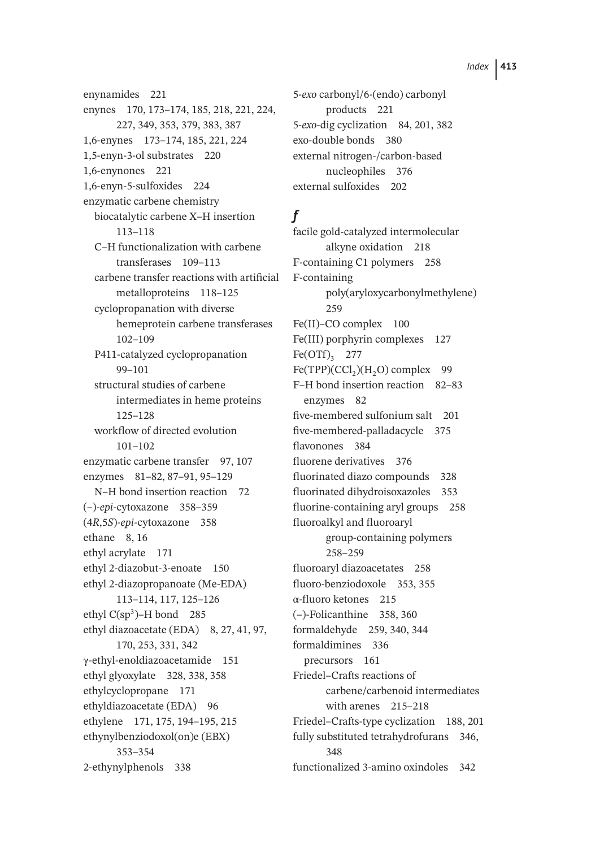enynamides 221 enynes 170, 173–174, 185, 218, 221, 224, 227, 349, 353, 379, 383, 387 1,6-enynes 173–174, 185, 221, 224 1,5-enyn-3-ol substrates 220 1,6-enynones 221 1,6-enyn-5-sulfoxides 224 enzymatic carbene chemistry biocatalytic carbene X–H insertion 113–118 C–H functionalization with carbene transferases 109–113 carbene transfer reactions with artificial metalloproteins 118–125 cyclopropanation with diverse hemeprotein carbene transferases 102–109 P411-catalyzed cyclopropanation 99–101 structural studies of carbene intermediates in heme proteins 125–128 workflow of directed evolution 101–102 enzymatic carbene transfer 97, 107 enzymes 81–82, 87–91, 95–129 N–H bond insertion reaction 72 (–)-*epi*-cytoxazone 358–359 (4*R*,5*S*)-*epi*-cytoxazone 358 ethane 8, 16 ethyl acrylate 171 ethyl 2-diazobut-3-enoate 150 ethyl 2-diazopropanoate (Me-EDA) 113–114, 117, 125–126 ethyl  $C(sp^3)$ –H bond 285 ethyl diazoacetate (EDA) 8, 27, 41, 97, 170, 253, 331, 342 γ-ethyl-enoldiazoacetamide 151 ethyl glyoxylate 328, 338, 358 ethylcyclopropane 171 ethyldiazoacetate (EDA) 96 ethylene 171, 175, 194–195, 215 ethynylbenziodoxol(on)e (EBX) 353–354 2-ethynylphenols 338

5-*exo* carbonyl/6-(endo) carbonyl products 221 5-*exo*-dig cyclization 84, 201, 382 exo-double bonds 380 external nitrogen-/carbon-based nucleophiles 376 external sulfoxides 202

# *f*

facile gold-catalyzed intermolecular alkyne oxidation 218 F-containing C1 polymers 258 F-containing poly(aryloxycarbonylmethylene) 259 Fe(II)–CO complex 100 Fe(III) porphyrin complexes 127  $Fe(OTf)$ <sub>3</sub> 277  $Fe(TPP)(CCl<sub>2</sub>)(H<sub>2</sub>O)$  complex 99 F–H bond insertion reaction 82–83 enzymes 82 five-membered sulfonium salt 201 five-membered-palladacycle 375 flavonones 384 fluorene derivatives 376 fluorinated diazo compounds 328 fluorinated dihydroisoxazoles 353 fluorine-containing aryl groups 258 fluoroalkyl and fluoroaryl group-containing polymers 258–259 fluoroaryl diazoacetates 258 fluoro-benziodoxole 353, 355 α-fluoro ketones 215 (–)-Folicanthine 358, 360 formaldehyde 259, 340, 344 formaldimines 336 precursors 161 Friedel–Crafts reactions of carbene/carbenoid intermediates with arenes 215–218 Friedel–Crafts-type cyclization 188, 201 fully substituted tetrahydrofurans 346, 348 functionalized 3-amino oxindoles 342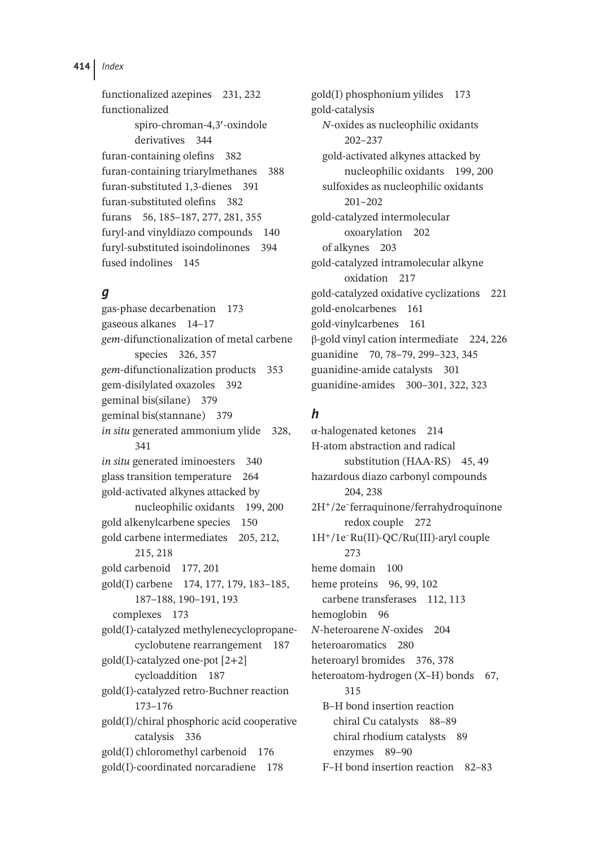functionalized azepines 231, 232 functionalized spiro-chroman-4,3′ -oxindole derivatives 344 furan-containing olefins 382 furan-containing triarylmethanes 388 furan-substituted 1,3-dienes 391 furan-substituted olefins 382 furans 56, 185–187, 277, 281, 355 furyl-and vinyldiazo compounds 140 furyl-substituted isoindolinones 394 fused indolines 145

## *g*

gas-phase decarbenation 173 gaseous alkanes 14–17 *gem*-difunctionalization of metal carbene species 326, 357 *gem*-difunctionalization products 353 gem-disilylated oxazoles 392 geminal bis(silane) 379 geminal bis(stannane) 379 *in situ* generated ammonium ylide 328, 341 *in situ* generated iminoesters 340 glass transition temperature 264 gold-activated alkynes attacked by nucleophilic oxidants 199, 200 gold alkenylcarbene species 150 gold carbene intermediates 205, 212, 215, 218 gold carbenoid 177, 201 gold(I) carbene 174, 177, 179, 183–185, 187–188, 190–191, 193 complexes 173 gold(I)-catalyzed methylenecyclopropanecyclobutene rearrangement 187 gold(I)-catalyzed one-pot [2+2] cycloaddition 187 gold(I)-catalyzed retro-Buchner reaction 173–176 gold(I)/chiral phosphoric acid cooperative catalysis 336 gold(I) chloromethyl carbenoid 176 gold(I)-coordinated norcaradiene 178

gold(I) phosphonium yilides 173 gold-catalysis *N*-oxides as nucleophilic oxidants 202–237 gold-activated alkynes attacked by nucleophilic oxidants 199, 200 sulfoxides as nucleophilic oxidants 201–202 gold-catalyzed intermolecular oxoarylation 202 of alkynes 203 gold-catalyzed intramolecular alkyne oxidation 217 gold-catalyzed oxidative cyclizations 221 gold-enolcarbenes 161 gold-vinylcarbenes 161 β-gold vinyl cation intermediate 224, 226 guanidine 70, 78–79, 299–323, 345 guanidine-amide catalysts 301 guanidine-amides 300–301, 322, 323

# *h*

α-halogenated ketones 214 H-atom abstraction and radical substitution (HAA-RS) 45, 49 hazardous diazo carbonyl compounds 204, 238 2H<sup>+</sup>/2e–ferraquinone/ferrahydroquinone redox couple 272 1H<sup>+</sup>/1e–Ru(II)-QC/Ru(III)-aryl couple 273 heme domain 100 heme proteins 96, 99, 102 carbene transferases 112, 113 hemoglobin 96 *N*-heteroarene *N*-oxides 204 heteroaromatics 280 heteroaryl bromides 376, 378 heteroatom-hydrogen (X-H) bonds 67, 315 B–H bond insertion reaction chiral Cu catalysts 88–89 chiral rhodium catalysts 89 enzymes 89–90 F–H bond insertion reaction 82–83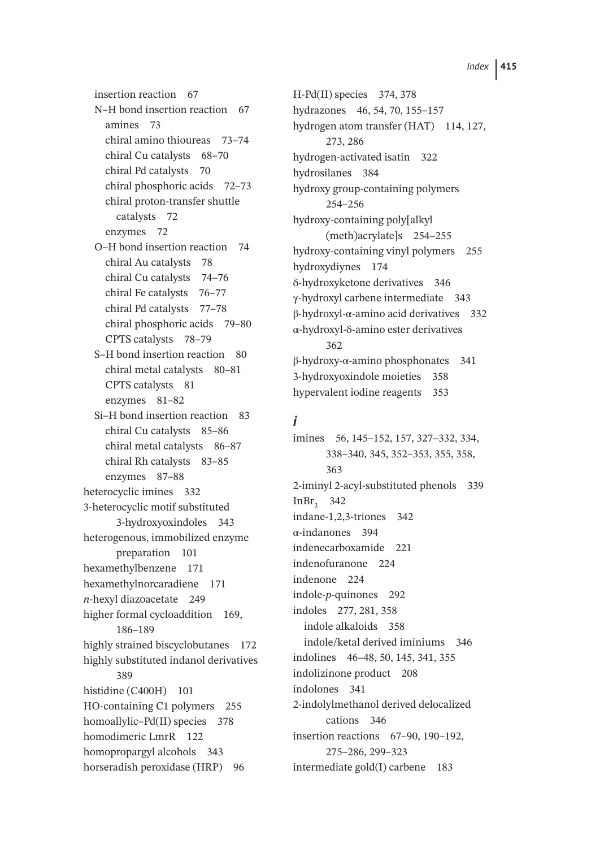insertion reaction 67 N–H bond insertion reaction 67 amines 73 chiral amino thioureas 73–74 chiral Cu catalysts 68–70 chiral Pd catalysts 70 chiral phosphoric acids 72–73 chiral proton-transfer shuttle catalysts 72 enzymes 72 O–H bond insertion reaction 74 chiral Au catalysts 78 chiral Cu catalysts 74–76 chiral Fe catalysts 76-77 chiral Pd catalysts 77–78 chiral phosphoric acids 79–80 CPTS catalysts 78–79 S–H bond insertion reaction 80 chiral metal catalysts 80–81 CPTS catalysts 81 enzymes 81–82 Si–H bond insertion reaction 83 chiral Cu catalysts 85–86 chiral metal catalysts 86–87 chiral Rh catalysts 83–85 enzymes 87–88 heterocyclic imines 332 3-heterocyclic motif substituted 3-hydroxyoxindoles 343 heterogenous, immobilized enzyme preparation 101 hexamethylbenzene 171 hexamethylnorcaradiene 171 *n*-hexyl diazoacetate 249 higher formal cycloaddition 169, 186–189 highly strained biscyclobutanes 172 highly substituted indanol derivatives 389 histidine (C400H) 101 HO-containing C1 polymers 255 homoallylic–Pd(II) species 378 homodimeric LmrR 122 homopropargyl alcohols 343 horseradish peroxidase (HRP) 96

H-Pd(II) species 374, 378 hydrazones 46, 54, 70, 155–157 hydrogen atom transfer (HAT) 114, 127, 273, 286 hydrogen-activated isatin 322 hydrosilanes 384 hydroxy group-containing polymers 254–256 hydroxy-containing poly[alkyl (meth)acrylate]s 254–255 hydroxy-containing vinyl polymers 255 hydroxydiynes 174 δ-hydroxyketone derivatives 346 γ-hydroxyl carbene intermediate 343 β-hydroxyl-α-amino acid derivatives 332 α-hydroxyl-δ-amino ester derivatives 362 β-hydroxy-α-amino phosphonates 341 3-hydroxyoxindole moieties 358 hypervalent iodine reagents 353

#### *i*

imines 56, 145–152, 157, 327–332, 334, 338–340, 345, 352–353, 355, 358, 363 2-iminyl 2-acyl-substituted phenols 339 InBr<sub>2</sub> 342 indane-1,2,3-triones 342 α-indanones 394 indenecarboxamide 221 indenofuranone 224 indenone 224 indole-*p*-quinones 292 indoles 277, 281, 358 indole alkaloids 358 indole/ketal derived iminiums 346 indolines 46–48, 50, 145, 341, 355 indolizinone product 208 indolones 341 2-indolylmethanol derived delocalized cations 346 insertion reactions 67–90, 190–192, 275–286, 299–323 intermediate gold(I) carbene 183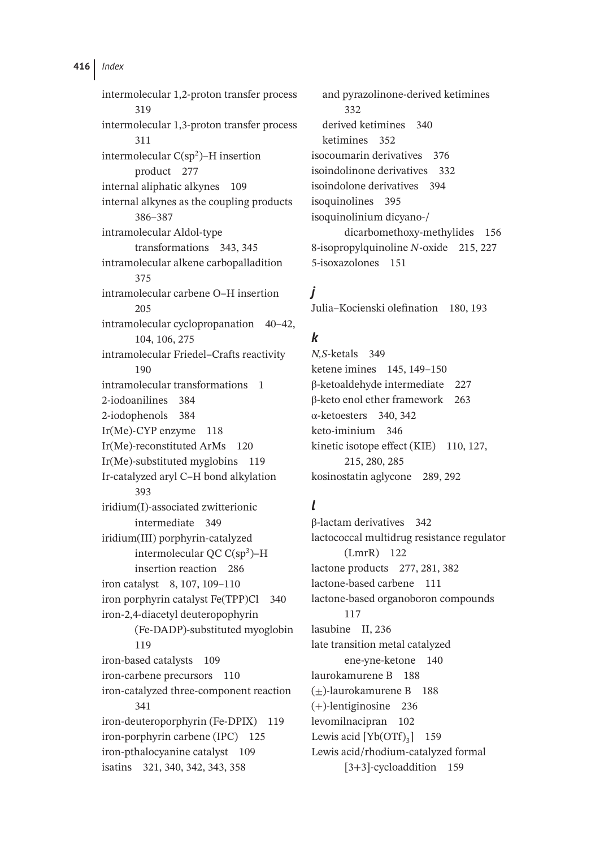intermolecular 1,2-proton transfer process 319 intermolecular 1,3-proton transfer process 311 intermolecular  $C(sp^2)$ –H insertion product 277 internal aliphatic alkynes 109 internal alkynes as the coupling products 386–387 intramolecular Aldol-type transformations 343, 345 intramolecular alkene carbopalladition 375 intramolecular carbene O–H insertion 205 intramolecular cyclopropanation 40–42, 104, 106, 275 intramolecular Friedel–Crafts reactivity 190 intramolecular transformations 1 2-iodoanilines 384 2-iodophenols 384 Ir(Me)-CYP enzyme 118 Ir(Me)-reconstituted ArMs 120 Ir(Me)-substituted myglobins 119 Ir-catalyzed aryl C–H bond alkylation 393 iridium(I)-associated zwitterionic intermediate 349 iridium(III) porphyrin-catalyzed intermolecular  $OC C(sp^3)$ –H insertion reaction 286 iron catalyst 8, 107, 109–110 iron porphyrin catalyst Fe(TPP)Cl 340 iron-2,4-diacetyl deuteropophyrin (Fe-DADP)-substituted myoglobin 119 iron-based catalysts 109 iron-carbene precursors 110 iron-catalyzed three-component reaction 341 iron-deuteroporphyrin (Fe-DPIX) 119 iron-porphyrin carbene (IPC) 125 iron-pthalocyanine catalyst 109 isatins 321, 340, 342, 343, 358

and pyrazolinone-derived ketimines 332 derived ketimines 340 ketimines 352 isocoumarin derivatives 376 isoindolinone derivatives 332 isoindolone derivatives 394 isoquinolines 395 isoquinolinium dicyano-/ dicarbomethoxy-methylides 156 8-isopropylquinoline *N*-oxide 215, 227 5-isoxazolones 151

*j*

Julia–Kocienski olefination 180, 193

## *k*

*N,S*-ketals 349 ketene imines 145, 149–150 β-ketoaldehyde intermediate 227 β-keto enol ether framework 263 α-ketoesters 340, 342 keto-iminium 346 kinetic isotope effect (KIE) 110, 127, 215, 280, 285 kosinostatin aglycone 289, 292

## *l*

β-lactam derivatives 342 lactococcal multidrug resistance regulator (LmrR) 122 lactone products 277, 281, 382 lactone-based carbene 111 lactone-based organoboron compounds 117 lasubine II, 236 late transition metal catalyzed ene-yne-ketone 140 laurokamurene B 188 (±)-laurokamurene B 188 (+)-lentiginosine 236 levomilnacipran 102 Lewis acid  $[Yb(OTf)_3]$  159 Lewis acid/rhodium-catalyzed formal [3+3]-cycloaddition 159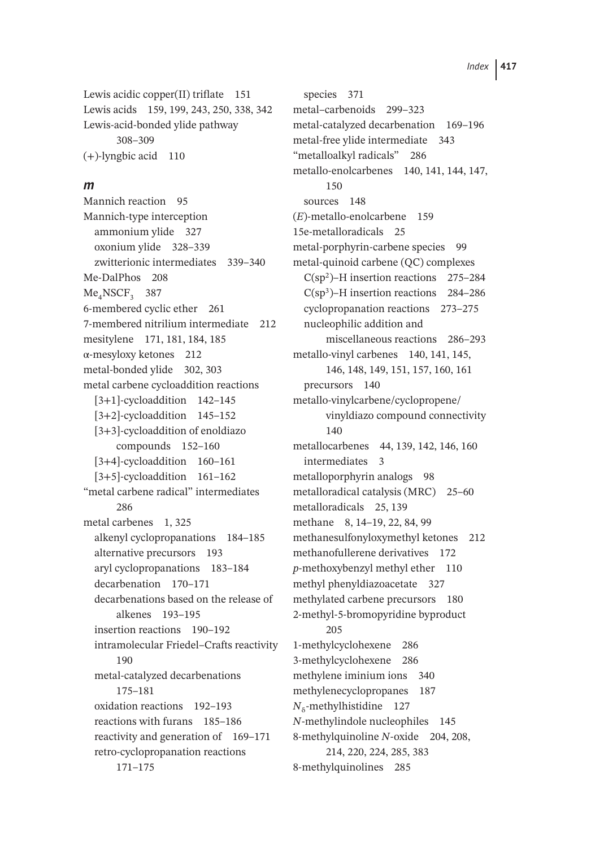Lewis acidic copper(II) triflate 151 Lewis acids 159, 199, 243, 250, 338, 342 Lewis-acid-bonded ylide pathway 308–309 (+)-lyngbic acid 110

#### *m*

Mannich reaction 95 Mannich-type interception ammonium ylide 327 oxonium ylide 328–339 zwitterionic intermediates 339–340 Me-DalPhos 208 Me<sub>4</sub>NSCF<sub>2</sub> 387 6-membered cyclic ether 261 7-membered nitrilium intermediate 212 mesitylene 171, 181, 184, 185 α-mesyloxy ketones 212 metal-bonded ylide 302, 303 metal carbene cycloaddition reactions [3+1]-cycloaddition 142–145 [3+2]-cycloaddition 145–152 [3+3]-cycloaddition of enoldiazo compounds 152–160 [3+4]-cycloaddition 160–161 [3+5]-cycloaddition 161–162 "metal carbene radical" intermediates 286 metal carbenes 1, 325 alkenyl cyclopropanations 184–185 alternative precursors 193 aryl cyclopropanations 183–184 decarbenation 170–171 decarbenations based on the release of alkenes 193–195 insertion reactions 190–192 intramolecular Friedel–Crafts reactivity 190 metal-catalyzed decarbenations 175–181 oxidation reactions 192–193 reactions with furans 185–186 reactivity and generation of 169–171 retro-cyclopropanation reactions 171–175

species 371 metal–carbenoids 299–323 metal-catalyzed decarbenation 169–196 metal-free ylide intermediate 343 "metalloalkyl radicals" 286 metallo-enolcarbenes 140, 141, 144, 147, 150 sources 148 (*E*)-metallo-enolcarbene 159 15e-metalloradicals 25 metal-porphyrin-carbene species 99 metal-quinoid carbene (QC) complexes  $C(sp^2)$ –H insertion reactions 275–284  $C(sp<sup>3</sup>)$ –H insertion reactions 284–286 cyclopropanation reactions 273–275 nucleophilic addition and miscellaneous reactions 286–293 metallo-vinyl carbenes 140, 141, 145, 146, 148, 149, 151, 157, 160, 161 precursors 140 metallo-vinylcarbene/cyclopropene/ vinyldiazo compound connectivity 140 metallocarbenes 44, 139, 142, 146, 160 intermediates 3 metalloporphyrin analogs 98 metalloradical catalysis (MRC) 25–60 metalloradicals 25, 139 methane 8, 14–19, 22, 84, 99 methanesulfonyloxymethyl ketones 212 methanofullerene derivatives 172 *p*-methoxybenzyl methyl ether 110 methyl phenyldiazoacetate 327 methylated carbene precursors 180 2-methyl-5-bromopyridine byproduct 205 1-methylcyclohexene 286 3-methylcyclohexene 286 methylene iminium ions 340 methylenecyclopropanes 187 *N*<sub>δ</sub>-methylhistidine 127 *N*-methylindole nucleophiles 145 8-methylquinoline *N*-oxide 204, 208, 214, 220, 224, 285, 383 8-methylquinolines 285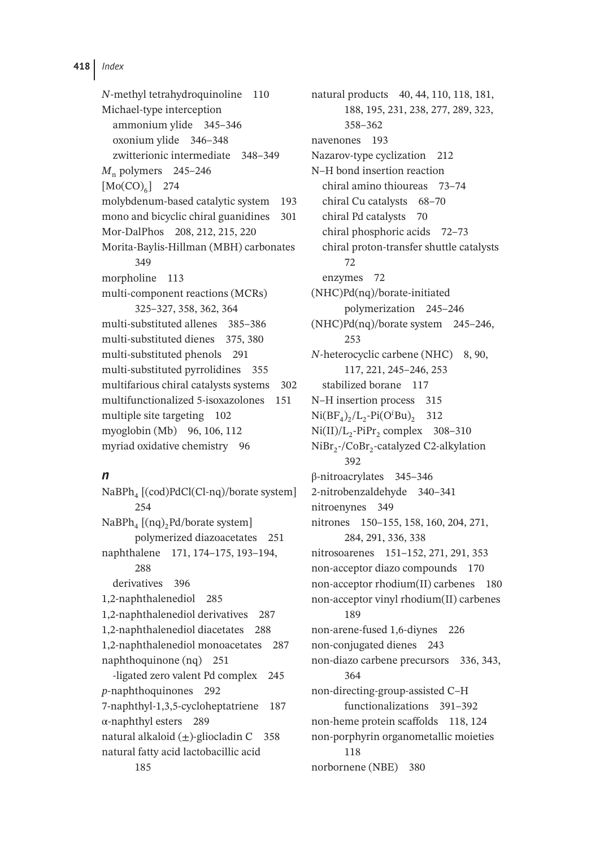*N*-methyl tetrahydroquinoline 110 Michael-type interception ammonium ylide 345–346 oxonium ylide 346–348 zwitterionic intermediate 348–349 *M*<sub>n</sub> polymers 245–246  $[Mo(CO)<sub>6</sub>]$  274 molybdenum-based catalytic system 193 mono and bicyclic chiral guanidines 301 Mor-DalPhos 208, 212, 215, 220 Morita-Baylis-Hillman (MBH) carbonates 349 morpholine 113 multi-component reactions (MCRs) 325–327, 358, 362, 364 multi-substituted allenes 385–386 multi-substituted dienes 375, 380 multi-substituted phenols 291 multi-substituted pyrrolidines 355 multifarious chiral catalysts systems 302 multifunctionalized 5-isoxazolones 151 multiple site targeting 102 myoglobin (Mb) 96, 106, 112 myriad oxidative chemistry 96

## *n*

NaBPh<sub>4</sub> [(cod)PdCl(Cl-nq)/borate system] 254  $NaBPh_4$  [(nq)<sub>2</sub>Pd/borate system] polymerized diazoacetates 251 naphthalene 171, 174–175, 193–194, 288 derivatives 396 1,2-naphthalenediol 285 1,2-naphthalenediol derivatives 287 1,2-naphthalenediol diacetates 288 1,2-naphthalenediol monoacetates 287 naphthoquinone (nq) 251 -ligated zero valent Pd complex 245 *p*-naphthoquinones 292 7-naphthyl-1,3,5-cycloheptatriene 187 α-naphthyl esters 289 natural alkaloid  $(\pm)$ -gliocladin C 358 natural fatty acid lactobacillic acid 185

natural products 40, 44, 110, 118, 181, 188, 195, 231, 238, 277, 289, 323, 358–362 navenones 193 Nazarov-type cyclization 212 N–H bond insertion reaction chiral amino thioureas 73–74 chiral Cu catalysts 68–70 chiral Pd catalysts 70 chiral phosphoric acids 72–73 chiral proton-transfer shuttle catalysts 72 enzymes 72 (NHC)Pd(nq)/borate-initiated polymerization 245–246 (NHC)Pd(nq)/borate system 245–246, 253 *N*-heterocyclic carbene (NHC) 8, 90, 117, 221, 245–246, 253 stabilized borane 117 N–H insertion process 315  $Ni(BF_4)_2/L_2-Pi(O^iBu)_2$  312  $Ni(II)/L_2-PiPr_2$  complex 308–310  $NiBr<sub>2</sub>-/CoBr<sub>2</sub>-catalyzed C2-alkylation$ 392 β-nitroacrylates 345–346 2-nitrobenzaldehyde 340–341 nitroenynes 349 nitrones 150–155, 158, 160, 204, 271, 284, 291, 336, 338 nitrosoarenes 151–152, 271, 291, 353 non-acceptor diazo compounds 170 non-acceptor rhodium(II) carbenes 180 non-acceptor vinyl rhodium(II) carbenes 189 non-arene-fused 1,6-diynes 226 non-conjugated dienes 243 non-diazo carbene precursors 336, 343, 364 non-directing-group-assisted C–H functionalizations 391–392 non-heme protein scaffolds 118, 124 non-porphyrin organometallic moieties 118 norbornene (NBE) 380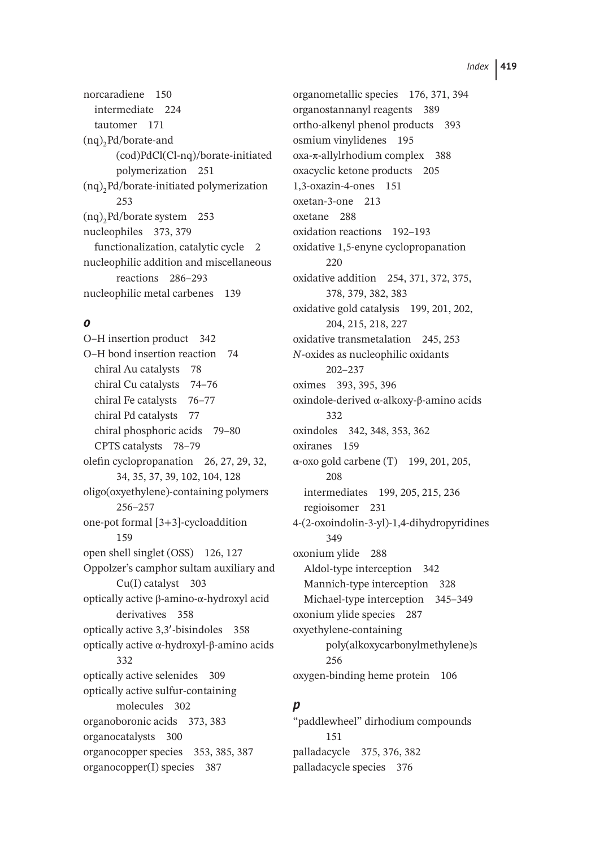norcaradiene 150 intermediate 224 tautomer 171  $(nq)$ <sub>2</sub>Pd/borate-and (cod)PdCl(Cl-nq)/borate-initiated polymerization 251  $(nq)$ <sub>2</sub>Pd/borate-initiated polymerization 253  $(nq)$ <sub>2</sub>Pd/borate system 253 nucleophiles 373, 379 functionalization, catalytic cycle 2 nucleophilic addition and miscellaneous reactions 286–293 nucleophilic metal carbenes 139

### *o*

O–H insertion product 342 O–H bond insertion reaction 74 chiral Au catalysts 78 chiral Cu catalysts 74–76 chiral Fe catalysts 76–77 chiral Pd catalysts 77 chiral phosphoric acids 79–80 CPTS catalysts 78–79 olefin cyclopropanation 26, 27, 29, 32, 34, 35, 37, 39, 102, 104, 128 oligo(oxyethylene)-containing polymers 256–257 one-pot formal [3+3]-cycloaddition 159 open shell singlet (OSS) 126, 127 Oppolzer's camphor sultam auxiliary and Cu(I) catalyst 303 optically active β-amino-α-hydroxyl acid derivatives 358 optically active 3,3′ -bisindoles 358 optically active α-hydroxyl-β-amino acids 332 optically active selenides 309 optically active sulfur-containing molecules 302 organoboronic acids 373, 383 organocatalysts 300 organocopper species 353, 385, 387 organocopper(I) species 387

organometallic species 176, 371, 394 organostannanyl reagents 389 ortho-alkenyl phenol products 393 osmium vinylidenes 195 oxa-π-allylrhodium complex 388 oxacyclic ketone products 205 1,3-oxazin-4-ones 151 oxetan-3-one 213 oxetane 288 oxidation reactions 192–193 oxidative 1,5-enyne cyclopropanation 220 oxidative addition 254, 371, 372, 375, 378, 379, 382, 383 oxidative gold catalysis 199, 201, 202, 204, 215, 218, 227 oxidative transmetalation 245, 253 *N*-oxides as nucleophilic oxidants 202–237 oximes 393, 395, 396 oxindole-derived α-alkoxy-β-amino acids 332 oxindoles 342, 348, 353, 362 oxiranes 159 α-oxo gold carbene (T) 199, 201, 205, 208 intermediates 199, 205, 215, 236 regioisomer 231 4-(2-oxoindolin-3-yl)-1,4-dihydropyridines 349 oxonium ylide 288 Aldol-type interception 342 Mannich-type interception 328 Michael-type interception 345–349 oxonium ylide species 287 oxyethylene-containing poly(alkoxycarbonylmethylene)s 256 oxygen-binding heme protein 106

#### *p*

"paddlewheel" dirhodium compounds 151 palladacycle 375, 376, 382 palladacycle species 376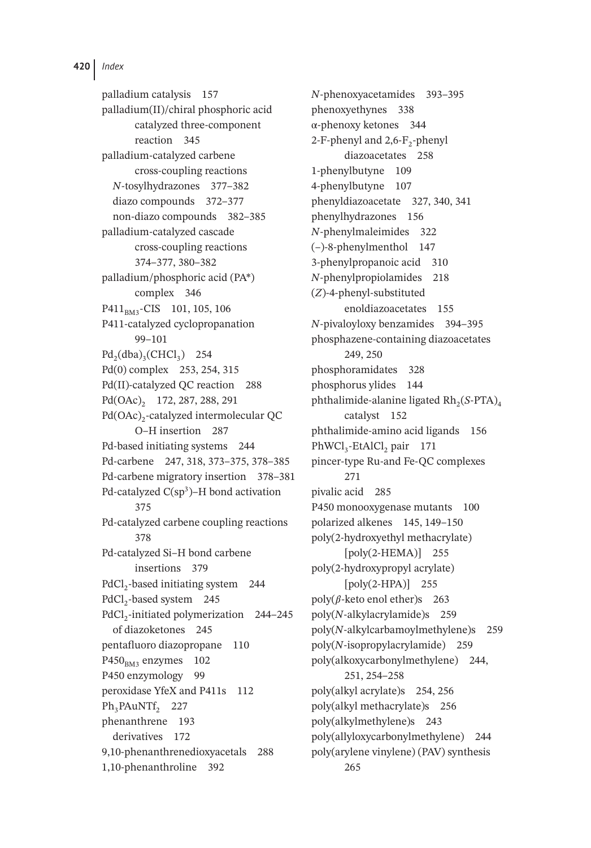palladium catalysis 157 palladium(II)/chiral phosphoric acid catalyzed three-component reaction 345 palladium-catalyzed carbene cross-coupling reactions *N*-tosylhydrazones 377–382 diazo compounds 372–377 non-diazo compounds 382–385 palladium-catalyzed cascade cross-coupling reactions 374–377, 380–382 palladium/phosphoric acid (PA\*) complex 346 P411<sub>BM3</sub>-CIS 101, 105, 106 P411-catalyzed cyclopropanation 99–101  $Pd_2(dba)_3(CHCl_3)$  254 Pd(0) complex 253, 254, 315 Pd(II)-catalyzed QC reaction 288  $Pd(OAc)$ , 172, 287, 288, 291 Pd(OAc)<sub>2</sub>-catalyzed intermolecular QC O–H insertion 287 Pd-based initiating systems 244 Pd-carbene 247, 318, 373–375, 378–385 Pd-carbene migratory insertion 378–381 Pd-catalyzed  $C(sp^3)$ –H bond activation 375 Pd-catalyzed carbene coupling reactions 378 Pd-catalyzed Si–H bond carbene insertions 379 PdCl<sub>2</sub>-based initiating system 244 PdCl<sub>2</sub>-based system 245 PdCl<sub>2</sub>-initiated polymerization 244–245 of diazoketones 245 pentafluoro diazopropane 110  $P450<sub>BM3</sub>$  enzymes 102 P450 enzymology 99 peroxidase YfeX and P411s 112 Ph<sub>3</sub>PAuNTf<sub>2</sub> 227 phenanthrene 193 derivatives 172 9,10-phenanthrenedioxyacetals 288 1,10-phenanthroline 392

*N*-phenoxyacetamides 393–395 phenoxyethynes 338 α-phenoxy ketones 344 2-F-phenyl and  $2,6$ -F<sub>2</sub>-phenyl diazoacetates 258 1-phenylbutyne 109 4-phenylbutyne 107 phenyldiazoacetate 327, 340, 341 phenylhydrazones 156 *N*-phenylmaleimides 322 (–)-8-phenylmenthol 147 3-phenylpropanoic acid 310 *N*-phenylpropiolamides 218 (*Z*)-4-phenyl-substituted enoldiazoacetates 155 *N*-pivaloyloxy benzamides 394–395 phosphazene-containing diazoacetates 249, 250 phosphoramidates 328 phosphorus ylides 144 phthalimide-alanine ligated  $Rh_2(S-PTA)_4$ catalyst 152 phthalimide-amino acid ligands 156 PhWCl<sub>3</sub>-EtAlCl<sub>2</sub> pair 171 pincer-type Ru-and Fe-QC complexes 271 pivalic acid 285 P450 monooxygenase mutants 100 polarized alkenes 145, 149–150 poly(2-hydroxyethyl methacrylate) [poly(2-HEMA)] 255 poly(2-hydroxypropyl acrylate) [poly(2-HPA)] 255 poly( $\beta$ -keto enol ether)s 263 poly(*N*-alkylacrylamide)s 259 poly(*N*-alkylcarbamoylmethylene)s 259 poly(*N*-isopropylacrylamide) 259 poly(alkoxycarbonylmethylene) 244, 251, 254–258 poly(alkyl acrylate)s 254, 256 poly(alkyl methacrylate)s 256 poly(alkylmethylene)s 243 poly(allyloxycarbonylmethylene) 244 poly(arylene vinylene) (PAV) synthesis 265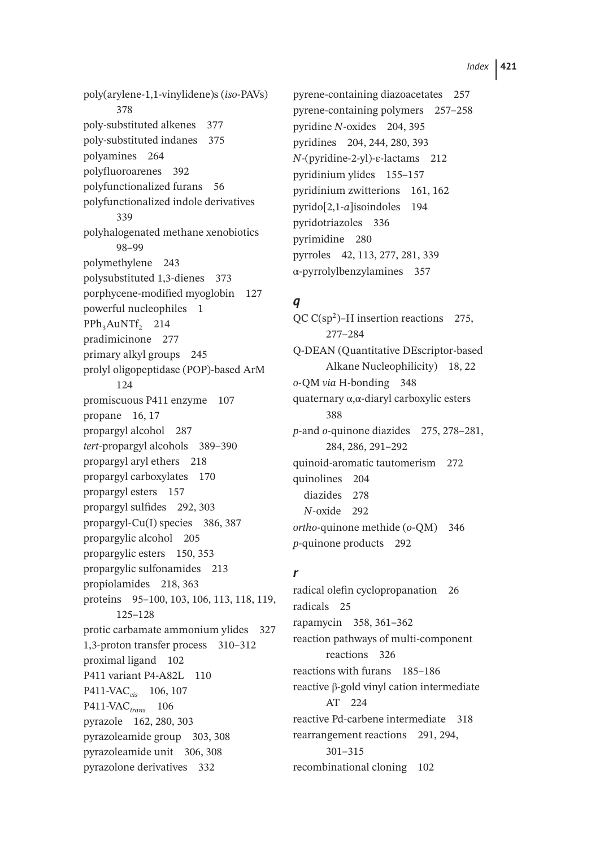poly(arylene-1,1-vinylidene)s (*iso*-PAVs) 378 poly-substituted alkenes 377 poly-substituted indanes 375 polyamines 264 polyfluoroarenes 392 polyfunctionalized furans 56 polyfunctionalized indole derivatives 339 polyhalogenated methane xenobiotics 98–99 polymethylene 243 polysubstituted 1,3-dienes 373 porphycene-modified myoglobin 127 powerful nucleophiles 1 PPh<sub>3</sub>AuNTf<sub>2</sub> 214 pradimicinone 277 primary alkyl groups 245 prolyl oligopeptidase (POP)-based ArM 124 promiscuous P411 enzyme 107 propane 16, 17 propargyl alcohol 287 *tert*-propargyl alcohols 389–390 propargyl aryl ethers 218 propargyl carboxylates 170 propargyl esters 157 propargyl sulfides 292, 303 propargyl-Cu(I) species 386, 387 propargylic alcohol 205 propargylic esters 150, 353 propargylic sulfonamides 213 propiolamides 218, 363 proteins 95–100, 103, 106, 113, 118, 119, 125–128 protic carbamate ammonium ylides 327 1,3-proton transfer process 310–312 proximal ligand 102 P411 variant P4-A82L 110 P411-VAC<sub>cis</sub> 106, 107 P411-VAC*trans* 106 pyrazole 162, 280, 303 pyrazoleamide group 303, 308 pyrazoleamide unit 306, 308 pyrazolone derivatives 332

pyrene-containing diazoacetates 257 pyrene-containing polymers 257–258 pyridine *N*-oxides 204, 395 pyridines 204, 244, 280, 393 *N*-(pyridine-2-yl)-ε-lactams 212 pyridinium ylides 155–157 pyridinium zwitterions 161, 162 pyrido[2,1-*a*]isoindoles 194 pyridotriazoles 336 pyrimidine 280 pyrroles 42, 113, 277, 281, 339 α-pyrrolylbenzylamines 357

## *q*

QC  $C(sp^2)$ –H insertion reactions 275, 277–284 Q-DEAN (Quantitative DEscriptor-based Alkane Nucleophilicity) 18, 22 *o*-QM *via* H-bonding 348 quaternary α,α-diaryl carboxylic esters 388 *p*-and *o*-quinone diazides 275, 278–281, 284, 286, 291–292 quinoid-aromatic tautomerism 272 quinolines 204 diazides 278 *N*-oxide 292 *ortho*-quinone methide (*o*-QM) 346 *p*-quinone products 292

## *r*

radical olefin cyclopropanation 26 radicals 25 rapamycin 358, 361–362 reaction pathways of multi-component reactions 326 reactions with furans 185–186 reactive β-gold vinyl cation intermediate AT 224 reactive Pd-carbene intermediate 318 rearrangement reactions 291, 294, 301–315 recombinational cloning 102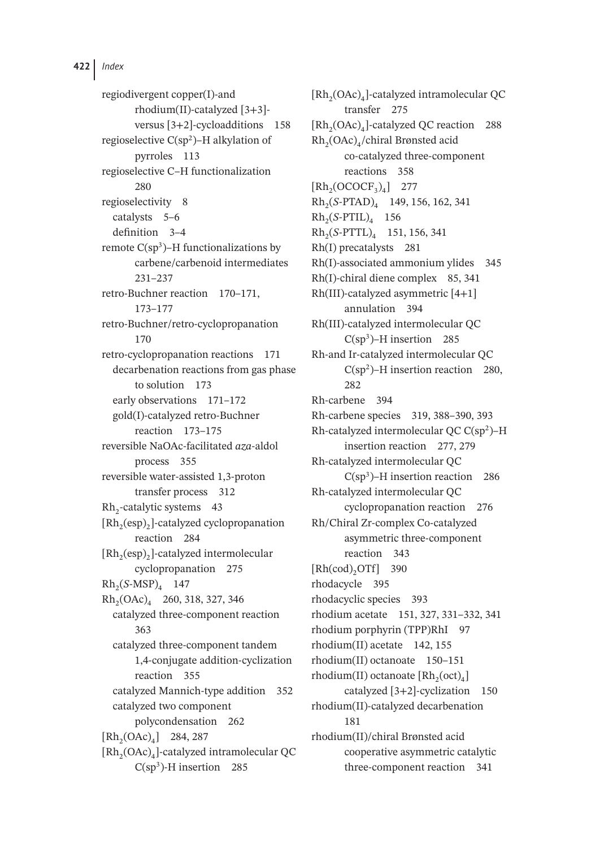regiodivergent copper(I)-and rhodium(II)-catalyzed [3+3] versus [3+2]-cycloadditions 158 regioselective  $C(sp^2)$ –H alkylation of pyrroles 113 regioselective C–H functionalization 280 regioselectivity 8 catalysts 5–6 definition 3–4 remote  $C(sp^3)$ –H functionalizations by carbene/carbenoid intermediates 231–237 retro-Buchner reaction 170–171, 173–177 retro-Buchner/retro-cyclopropanation 170 retro-cyclopropanation reactions 171 decarbenation reactions from gas phase to solution 173 early observations 171–172 gold(I)-catalyzed retro-Buchner reaction 173–175 reversible NaOAc-facilitated *aza*-aldol process 355 reversible water-assisted 1,3-proton transfer process 312  $Rh<sub>2</sub>$ -catalytic systems 43 [Rh<sub>2</sub>(esp)<sub>2</sub>]-catalyzed cyclopropanation reaction 284  $[Rh_2(esp)_2]$ -catalyzed intermolecular cyclopropanation 275  $Rh_2(S\text{-MSP})_4$  147  $Rh<sub>2</sub>(OAc)<sub>4</sub>$  260, 318, 327, 346 catalyzed three-component reaction 363 catalyzed three-component tandem 1,4-conjugate addition-cyclization reaction 355 catalyzed Mannich-type addition 352 catalyzed two component polycondensation 262  $[Rh_2(OAc)_4]$  284, 287  $[Rh<sub>2</sub>(OAc)<sub>4</sub>]$ -catalyzed intramolecular QC  $C(sp<sup>3</sup>)$ -H insertion 285

 $[Rh<sub>2</sub>(OAc)<sub>4</sub>]-catalyzed intramolecular QC$ transfer 275  $[Rh,(OAc)_4]$ -catalyzed QC reaction 288 Rh<sub>2</sub>(OAc)<sub>4</sub>/chiral Brønsted acid co-catalyzed three-component reactions 358  $[Rh<sub>2</sub>(OCOCF<sub>3</sub>)<sub>4</sub>]$  277 Rh2(*S*-PTAD)4 149, 156, 162, 341 Rh2(*S*-PTIL)4 156 Rh2(*S*-PTTL)4 151, 156, 341 Rh(I) precatalysts 281 Rh(I)-associated ammonium ylides 345 Rh(I)-chiral diene complex 85, 341 Rh(III)-catalyzed asymmetric [4+1] annulation 394 Rh(III)-catalyzed intermolecular QC  $C(sp^3)$ –H insertion 285 Rh-and Ir-catalyzed intermolecular QC  $C(sp^2)$ –H insertion reaction 280, 282 Rh-carbene 394 Rh-carbene species 319, 388–390, 393 Rh-catalyzed intermolecular QC  $C(sp^2)$ –H insertion reaction 277, 279 Rh-catalyzed intermolecular QC  $C(sp<sup>3</sup>)$ –H insertion reaction 286 Rh-catalyzed intermolecular QC cyclopropanation reaction 276 Rh/Chiral Zr-complex Co-catalyzed asymmetric three-component reaction 343  $[Rh(cod), OTf]$  390 rhodacycle 395 rhodacyclic species 393 rhodium acetate 151, 327, 331–332, 341 rhodium porphyrin (TPP)RhI 97 rhodium(II) acetate 142, 155 rhodium(II) octanoate 150–151 rhodium(II) octanoate  $[Rh_2(oct)]_4$ catalyzed [3+2]-cyclization 150 rhodium(II)-catalyzed decarbenation 181 rhodium(II)/chiral Brønsted acid cooperative asymmetric catalytic three-component reaction 341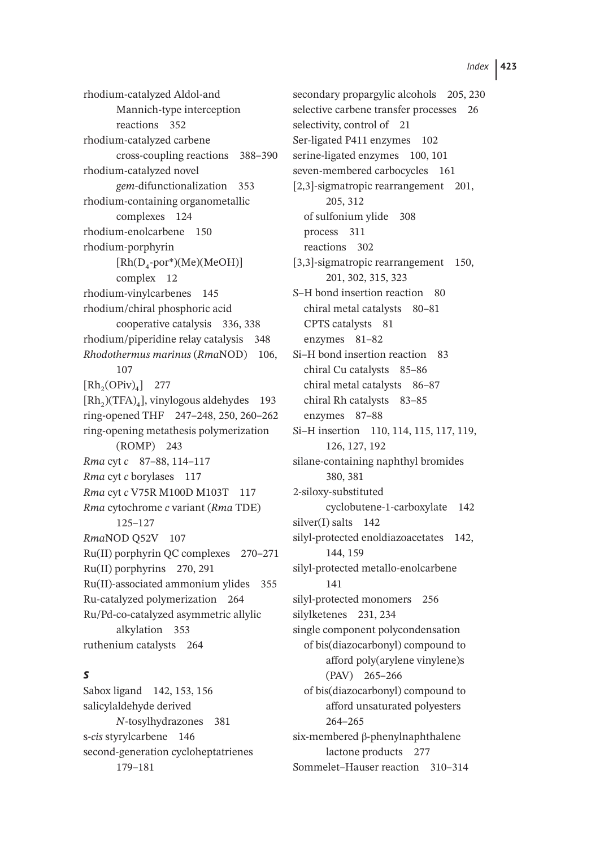rhodium-catalyzed Aldol-and Mannich-type interception reactions 352 rhodium-catalyzed carbene cross-coupling reactions 388–390 rhodium-catalyzed novel *gem*-difunctionalization 353 rhodium-containing organometallic complexes 124 rhodium-enolcarbene 150 rhodium-porphyrin  $[Rh(D_4\text{-}por*)(Me)(MeOH)]$ complex 12 rhodium-vinylcarbenes 145 rhodium/chiral phosphoric acid cooperative catalysis 336, 338 rhodium/piperidine relay catalysis 348 *Rhodothermus marinus* (*Rma*NOD) 106, 107  $[Rh_2(OPiv)_4]$  277  $[Rh<sub>2</sub>)(TFA)<sub>4</sub>$ , vinylogous aldehydes 193 ring-opened THF 247–248, 250, 260–262 ring-opening metathesis polymerization (ROMP) 243 *Rma* cyt *c* 87–88, 114–117 *Rma* cyt *c* borylases 117 *Rma* cyt *c* V75R M100D M103T 117 *Rma* cytochrome *c* variant (*Rma* TDE) 125–127 *Rma*NOD Q52V 107 Ru(II) porphyrin QC complexes 270–271 Ru(II) porphyrins 270, 291 Ru(II)-associated ammonium ylides 355 Ru-catalyzed polymerization 264 Ru/Pd-co-catalyzed asymmetric allylic alkylation 353 ruthenium catalysts 264

# *s*

Sabox ligand 142, 153, 156 salicylaldehyde derived *N*-tosylhydrazones 381 s-*cis* styrylcarbene 146 second-generation cycloheptatrienes 179–181

secondary propargylic alcohols 205, 230 selective carbene transfer processes 26 selectivity, control of 21 Ser-ligated P411 enzymes 102 serine-ligated enzymes 100, 101 seven-membered carbocycles 161 [2,3]-sigmatropic rearrangement 201, 205, 312 of sulfonium ylide 308 process 311 reactions 302 [3,3]-sigmatropic rearrangement 150, 201, 302, 315, 323 S–H bond insertion reaction 80 chiral metal catalysts 80–81 CPTS catalysts 81 enzymes 81–82 Si–H bond insertion reaction 83 chiral Cu catalysts 85–86 chiral metal catalysts 86–87 chiral Rh catalysts 83–85 enzymes 87–88 Si–H insertion 110, 114, 115, 117, 119, 126, 127, 192 silane-containing naphthyl bromides 380, 381 2-siloxy-substituted cyclobutene-1-carboxylate 142 silver(I) salts 142 silyl-protected enoldiazoacetates 142, 144, 159 silyl-protected metallo-enolcarbene 141 silyl-protected monomers 256 silylketenes 231, 234 single component polycondensation of bis(diazocarbonyl) compound to afford poly(arylene vinylene)s (PAV) 265–266 of bis(diazocarbonyl) compound to afford unsaturated polyesters 264–265 six-membered β-phenylnaphthalene lactone products 277 Sommelet–Hauser reaction 310–314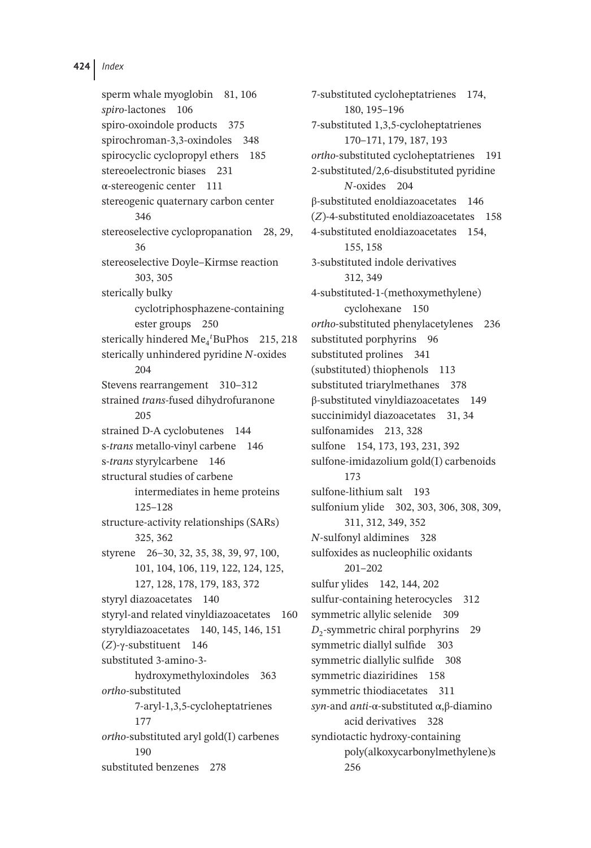sperm whale myoglobin 81, 106 *spiro*-lactones 106 spiro-oxoindole products 375 spirochroman-3,3-oxindoles 348 spirocyclic cyclopropyl ethers 185 stereoelectronic biases 231 α-stereogenic center 111 stereogenic quaternary carbon center 346 stereoselective cyclopropanation 28, 29, 36 stereoselective Doyle–Kirmse reaction 303, 305 sterically bulky cyclotriphosphazene-containing ester groups 250 sterically hindered Me<sub>4</sub><sup>*t*</sup>BuPhos 215, 218 sterically unhindered pyridine *N*-oxides 204 Stevens rearrangement 310–312 strained *trans*-fused dihydrofuranone 205 strained D-A cyclobutenes 144 s-*trans* metallo-vinyl carbene 146 s-*trans* styrylcarbene 146 structural studies of carbene intermediates in heme proteins 125–128 structure-activity relationships (SARs) 325, 362 styrene 26–30, 32, 35, 38, 39, 97, 100, 101, 104, 106, 119, 122, 124, 125, 127, 128, 178, 179, 183, 372 styryl diazoacetates 140 styryl-and related vinyldiazoacetates 160 styryldiazoacetates 140, 145, 146, 151 (*Z*)-γ-substituent 146 substituted 3-amino-3 hydroxymethyloxindoles 363 *ortho*-substituted 7-aryl-1,3,5-cycloheptatrienes 177 *ortho*-substituted aryl gold(I) carbenes 190 substituted benzenes 278

7-substituted cycloheptatrienes 174, 180, 195–196 7-substituted 1,3,5-cycloheptatrienes 170–171, 179, 187, 193 *ortho*-substituted cycloheptatrienes 191 2-substituted/2,6-disubstituted pyridine *N*-oxides 204 β-substituted enoldiazoacetates 146 (*Z*)-4-substituted enoldiazoacetates 158 4-substituted enoldiazoacetates 154, 155, 158 3-substituted indole derivatives 312, 349 4-substituted-1-(methoxymethylene) cyclohexane 150 *ortho*-substituted phenylacetylenes 236 substituted porphyrins 96 substituted prolines 341 (substituted) thiophenols 113 substituted triarylmethanes 378 β-substituted vinyldiazoacetates 149 succinimidyl diazoacetates 31, 34 sulfonamides 213, 328 sulfone 154, 173, 193, 231, 392 sulfone-imidazolium gold(I) carbenoids 173 sulfone-lithium salt 193 sulfonium ylide 302, 303, 306, 308, 309, 311, 312, 349, 352 *N*-sulfonyl aldimines 328 sulfoxides as nucleophilic oxidants 201–202 sulfur ylides 142, 144, 202 sulfur-containing heterocycles 312 symmetric allylic selenide 309 *D*<sub>2</sub>-symmetric chiral porphyrins 29 symmetric diallyl sulfide 303 symmetric diallylic sulfide 308 symmetric diaziridines 158 symmetric thiodiacetates 311 *syn*-and *anti*-α-substituted α,β-diamino acid derivatives 328 syndiotactic hydroxy-containing poly(alkoxycarbonylmethylene)s 256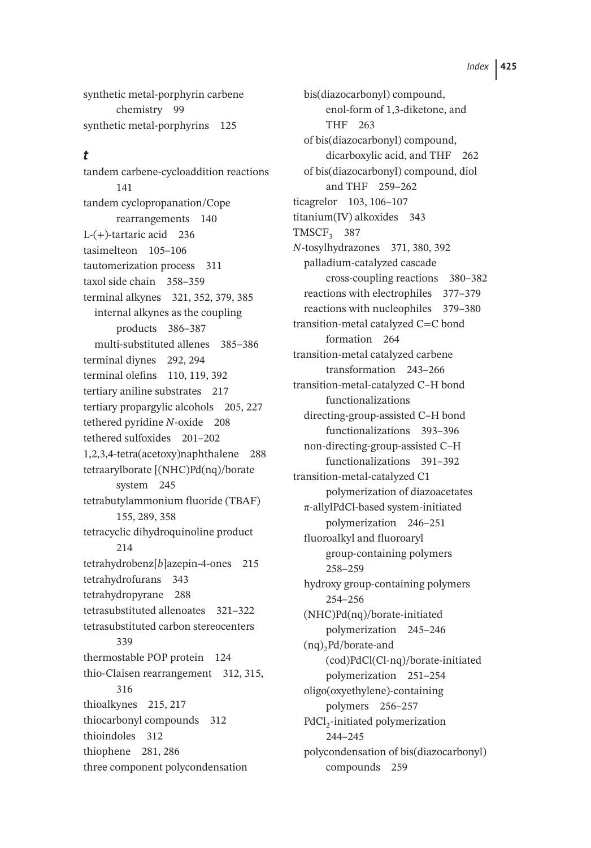synthetic metal-porphyrin carbene chemistry 99 synthetic metal-porphyrins 125

#### *t*

tandem carbene-cycloaddition reactions 141 tandem cyclopropanation/Cope rearrangements 140 L- $(+)$ -tartaric acid 236 tasimelteon 105–106 tautomerization process 311 taxol side chain 358–359 terminal alkynes 321, 352, 379, 385 internal alkynes as the coupling products 386–387 multi-substituted allenes 385–386 terminal diynes 292, 294 terminal olefins 110, 119, 392 tertiary aniline substrates 217 tertiary propargylic alcohols 205, 227 tethered pyridine *N*-oxide 208 tethered sulfoxides 201–202 1,2,3,4-tetra(acetoxy)naphthalene 288 tetraarylborate [(NHC)Pd(nq)/borate system 245 tetrabutylammonium fluoride (TBAF) 155, 289, 358 tetracyclic dihydroquinoline product 214 tetrahydrobenz[*b*]azepin-4-ones 215 tetrahydrofurans 343 tetrahydropyrane 288 tetrasubstituted allenoates 321–322 tetrasubstituted carbon stereocenters 339 thermostable POP protein 124 thio-Claisen rearrangement 312, 315, 316 thioalkynes 215, 217 thiocarbonyl compounds 312 thioindoles 312 thiophene 281, 286 three component polycondensation

bis(diazocarbonyl) compound, enol-form of 1,3-diketone, and THF 263 of bis(diazocarbonyl) compound, dicarboxylic acid, and THF 262 of bis(diazocarbonyl) compound, diol and THF 259–262 ticagrelor 103, 106–107 titanium(IV) alkoxides 343 TMSCF<sub>3</sub> 387 *N*-tosylhydrazones 371, 380, 392 palladium-catalyzed cascade cross-coupling reactions 380–382 reactions with electrophiles 377–379 reactions with nucleophiles 379–380 transition-metal catalyzed C=C bond formation 264 transition-metal catalyzed carbene transformation 243–266 transition-metal-catalyzed C–H bond functionalizations directing-group-assisted C–H bond functionalizations 393–396 non-directing-group-assisted C–H functionalizations 391–392 transition-metal-catalyzed C1 polymerization of diazoacetates π-allylPdCl-based system-initiated polymerization 246–251 fluoroalkyl and fluoroaryl group-containing polymers 258–259 hydroxy group-containing polymers 254–256 (NHC)Pd(nq)/borate-initiated polymerization 245–246  $(nq)$ <sub>2</sub>Pd/borate-and (cod)PdCl(Cl-nq)/borate-initiated polymerization 251–254 oligo(oxyethylene)-containing polymers 256–257 PdCl<sub>2</sub>-initiated polymerization 244–245 polycondensation of bis(diazocarbonyl) compounds 259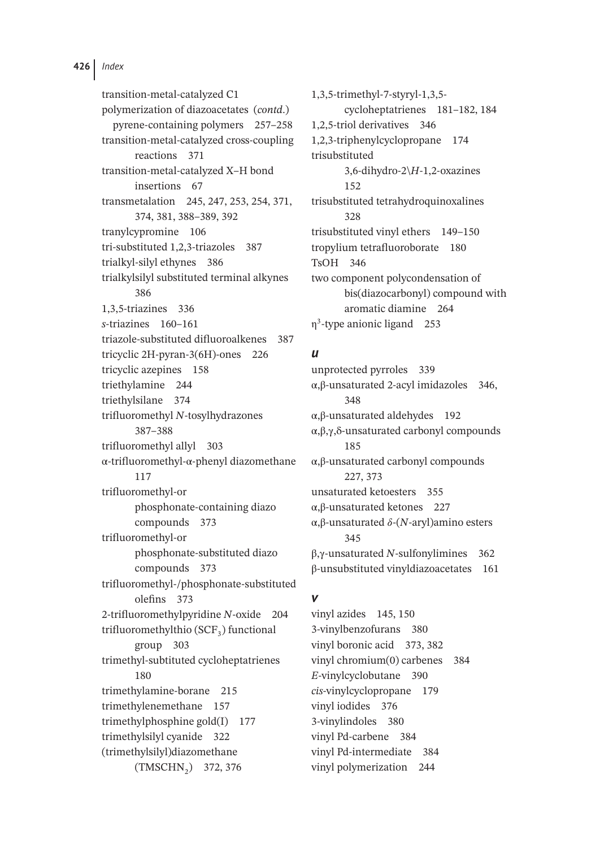transition-metal-catalyzed C1 polymerization of diazoacetates (*contd*.) pyrene-containing polymers 257–258 transition-metal-catalyzed cross-coupling reactions 371 transition-metal-catalyzed X–H bond insertions 67 transmetalation 245, 247, 253, 254, 371, 374, 381, 388–389, 392 tranylcypromine 106 tri-substituted 1,2,3-triazoles 387 trialkyl-silyl ethynes 386 trialkylsilyl substituted terminal alkynes 386 1,3,5-triazines 336 *s*-triazines 160–161 triazole-substituted difluoroalkenes 387 tricyclic 2H-pyran-3(6H)-ones 226 tricyclic azepines 158 triethylamine 244 triethylsilane 374 trifluoromethyl *N*-tosylhydrazones 387–388 trifluoromethyl allyl 303 α-trifluoromethyl-α-phenyl diazomethane 117 trifluoromethyl-or phosphonate-containing diazo compounds 373 trifluoromethyl-or phosphonate-substituted diazo compounds 373 trifluoromethyl-/phosphonate-substituted olefins 373 2-trifluoromethylpyridine *N*-oxide 204 trifluoromethylthio  $(SCF_3)$  functional group 303 trimethyl-subtituted cycloheptatrienes 180 trimethylamine-borane 215 trimethylenemethane 157 trimethylphosphine gold(I) 177 trimethylsilyl cyanide 322 (trimethylsilyl)diazomethane (TMSCHN2) 372, 376

1,3,5-trimethyl-7-styryl-1,3,5 cycloheptatrienes 181–182, 184 1,2,5-triol derivatives 346 1,2,3-triphenylcyclopropane 174 trisubstituted 3,6-dihydro-2\*H*-1,2-oxazines 152 trisubstituted tetrahydroquinoxalines 328 trisubstituted vinyl ethers 149–150 tropylium tetrafluoroborate 180 TsOH 346 two component polycondensation of bis(diazocarbonyl) compound with aromatic diamine 264 η3-type anionic ligand 253

#### *u*

unprotected pyrroles 339 α,β-unsaturated 2-acyl imidazoles 346, 348 α,β-unsaturated aldehydes 192 α,β,γ,δ-unsaturated carbonyl compounds 185 α,β-unsaturated carbonyl compounds 227, 373 unsaturated ketoesters 355 α,β-unsaturated ketones 227 α, β-unsaturated δ-(N-aryl)amino esters 345 β,γ-unsaturated *N*-sulfonylimines 362 β-unsubstituted vinyldiazoacetates 161

#### *v*

vinyl azides 145, 150 3-vinylbenzofurans 380 vinyl boronic acid 373, 382 vinyl chromium(0) carbenes 384 *E*-vinylcyclobutane 390 *cis*-vinylcyclopropane 179 vinyl iodides 376 3-vinylindoles 380 vinyl Pd-carbene 384 vinyl Pd-intermediate 384 vinyl polymerization 244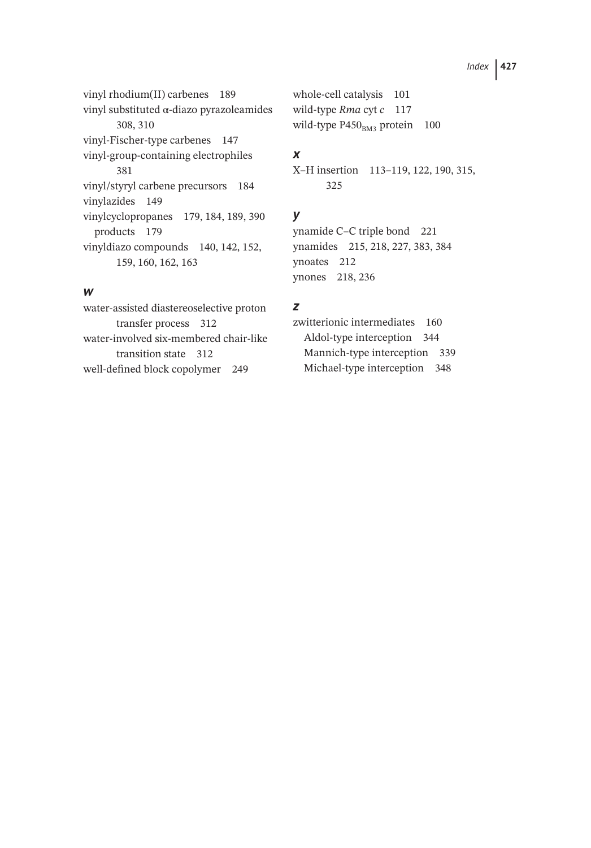vinyl rhodium(II) carbenes 189 vinyl substituted α-diazo pyrazoleamides 308, 310 vinyl-Fischer-type carbenes 147 vinyl-group-containing electrophiles 381 vinyl/styryl carbene precursors 184 vinylazides 149 vinylcyclopropanes 179, 184, 189, 390 products 179 vinyldiazo compounds 140, 142, 152, 159, 160, 162, 163

#### *w*

water-assisted diastereoselective proton transfer process 312 water-involved six-membered chair-like transition state 312 well-defined block copolymer 249

whole-cell catalysis 101 wild-type *Rma* cyt *c* 117 wild-type  $P450<sub>BM3</sub>$  protein 100

### *x*

X–H insertion 113–119, 122, 190, 315, 325

# *y*

ynamide C–C triple bond 221 ynamides 215, 218, 227, 383, 384 ynoates 212 ynones 218, 236

### *z*

zwitterionic intermediates 160 Aldol-type interception 344 Mannich-type interception 339 Michael-type interception 348